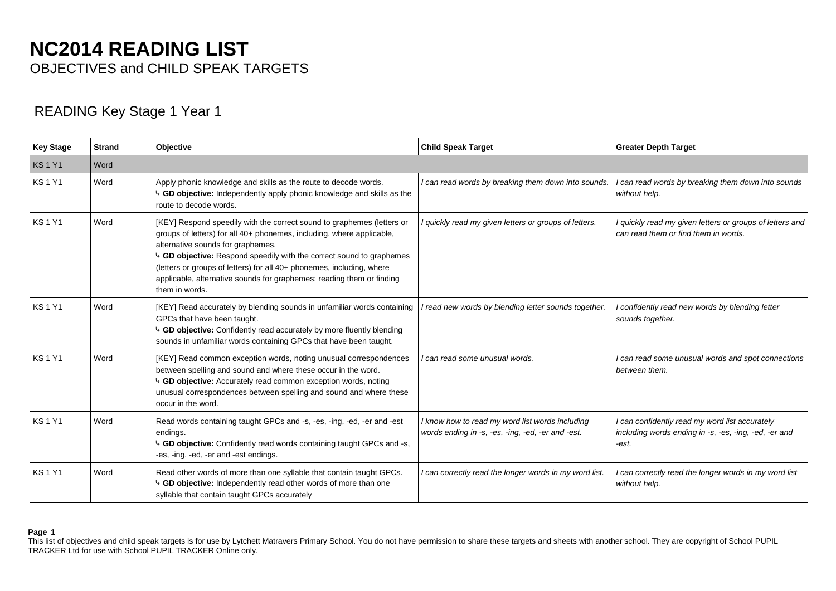# **NC2014 READING LIST** OBJECTIVES and CHILD SPEAK TARGETS

# READING Key Stage 1 Year 1

| <b>Key Stage</b> | <b>Strand</b> | Objective                                                                                                                                                                                                                                                                                                                                                                                                                      | <b>Child Speak Target</b>                                                                            | <b>Greater Depth Target</b>                                                                                      |
|------------------|---------------|--------------------------------------------------------------------------------------------------------------------------------------------------------------------------------------------------------------------------------------------------------------------------------------------------------------------------------------------------------------------------------------------------------------------------------|------------------------------------------------------------------------------------------------------|------------------------------------------------------------------------------------------------------------------|
| <b>KS1Y1</b>     | Word          |                                                                                                                                                                                                                                                                                                                                                                                                                                |                                                                                                      |                                                                                                                  |
| <b>KS1Y1</b>     | Word          | Apply phonic knowledge and skills as the route to decode words.<br><sup>1</sup> GD objective: Independently apply phonic knowledge and skills as the<br>route to decode words.                                                                                                                                                                                                                                                 | I can read words by breaking them down into sounds.                                                  | I can read words by breaking them down into sounds<br>without help.                                              |
| <b>KS1Y1</b>     | Word          | [KEY] Respond speedily with the correct sound to graphemes (letters or<br>groups of letters) for all 40+ phonemes, including, where applicable,<br>alternative sounds for graphemes.<br>GD objective: Respond speedily with the correct sound to graphemes<br>(letters or groups of letters) for all 40+ phonemes, including, where<br>applicable, alternative sounds for graphemes; reading them or finding<br>them in words. | guickly read my given letters or groups of letters.                                                  | I quickly read my given letters or groups of letters and<br>can read them or find them in words.                 |
| <b>KS1Y1</b>     | Word          | [KEY] Read accurately by blending sounds in unfamiliar words containing<br>GPCs that have been taught.<br><sup>4</sup> GD objective: Confidently read accurately by more fluently blending<br>sounds in unfamiliar words containing GPCs that have been taught.                                                                                                                                                                | I read new words by blending letter sounds together.                                                 | confidently read new words by blending letter<br>sounds together.                                                |
| <b>KS1Y1</b>     | Word          | [KEY] Read common exception words, noting unusual correspondences<br>between spelling and sound and where these occur in the word.<br>GD objective: Accurately read common exception words, noting<br>unusual correspondences between spelling and sound and where these<br>occur in the word.                                                                                                                                 | l can read some unusual words.                                                                       | I can read some unusual words and spot connections<br>between them.                                              |
| <b>KS1Y1</b>     | Word          | Read words containing taught GPCs and -s, -es, -ing, -ed, -er and -est<br>endings.<br>GD objective: Confidently read words containing taught GPCs and -s,<br>-es, -ing, -ed, -er and -est endings.                                                                                                                                                                                                                             | I know how to read my word list words including<br>words ending in -s, -es, -ing, -ed, -er and -est. | I can confidently read my word list accurately<br>including words ending in -s, -es, -ing, -ed, -er and<br>-est. |
| <b>KS1Y1</b>     | Word          | Read other words of more than one syllable that contain taught GPCs.<br><sup>1</sup> GD objective: Independently read other words of more than one<br>syllable that contain taught GPCs accurately                                                                                                                                                                                                                             | I can correctly read the longer words in my word list.                                               | I can correctly read the longer words in my word list<br>without help.                                           |

### **Page 1**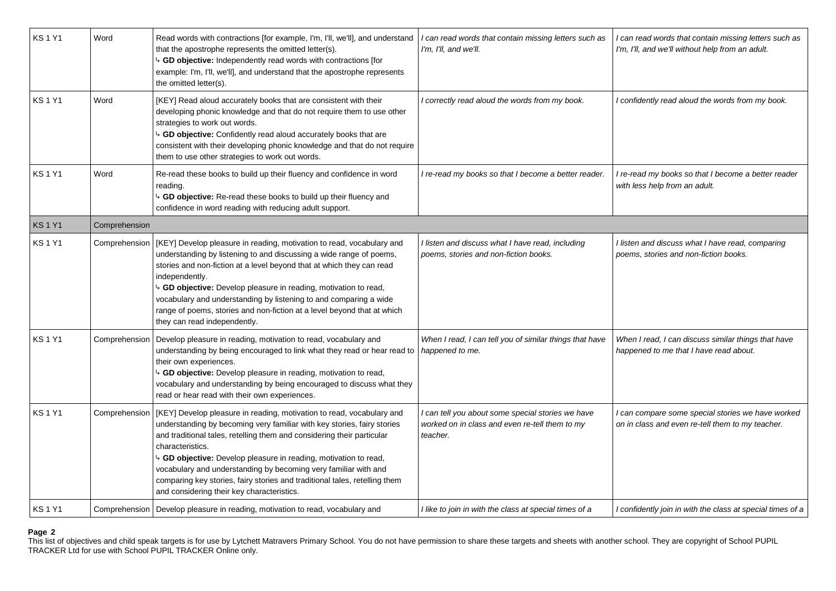| <b>KS1Y1</b> | Word          | Read words with contractions [for example, I'm, I'll, we'll], and understand<br>that the apostrophe represents the omitted letter(s).<br>$\frac{1}{2}$ GD objective: Independently read words with contractions [for<br>example: I'm, I'll, we'll], and understand that the apostrophe represents<br>the omitted letter(s).                                                                                                                                                                                                  | I can read words that contain missing letters such as<br>I'm, I'll, and we'll.                                  | I can read words that contain missing letters such as<br>I'm, I'll, and we'll without help from an adult. |  |
|--------------|---------------|------------------------------------------------------------------------------------------------------------------------------------------------------------------------------------------------------------------------------------------------------------------------------------------------------------------------------------------------------------------------------------------------------------------------------------------------------------------------------------------------------------------------------|-----------------------------------------------------------------------------------------------------------------|-----------------------------------------------------------------------------------------------------------|--|
| <b>KS1Y1</b> | Word          | [KEY] Read aloud accurately books that are consistent with their<br>developing phonic knowledge and that do not require them to use other<br>strategies to work out words.<br>4 GD objective: Confidently read aloud accurately books that are<br>consistent with their developing phonic knowledge and that do not require<br>them to use other strategies to work out words.                                                                                                                                               | I correctly read aloud the words from my book.                                                                  | I confidently read aloud the words from my book.                                                          |  |
| <b>KS1Y1</b> | Word          | Re-read these books to build up their fluency and confidence in word<br>reading.<br>4 GD objective: Re-read these books to build up their fluency and<br>confidence in word reading with reducing adult support.                                                                                                                                                                                                                                                                                                             | I re-read my books so that I become a better reader.                                                            | re-read my books so that I become a better reader<br>with less help from an adult.                        |  |
| <b>KS1Y1</b> | Comprehension |                                                                                                                                                                                                                                                                                                                                                                                                                                                                                                                              |                                                                                                                 |                                                                                                           |  |
| <b>KS1Y1</b> | Comprehension | [KEY] Develop pleasure in reading, motivation to read, vocabulary and<br>understanding by listening to and discussing a wide range of poems,<br>stories and non-fiction at a level beyond that at which they can read<br>independently.<br>4 GD objective: Develop pleasure in reading, motivation to read,<br>vocabulary and understanding by listening to and comparing a wide<br>range of poems, stories and non-fiction at a level beyond that at which<br>they can read independently.                                  | I listen and discuss what I have read, including<br>poems, stories and non-fiction books.                       | I listen and discuss what I have read, comparing<br>poems, stories and non-fiction books.                 |  |
| <b>KS1Y1</b> | Comprehension | Develop pleasure in reading, motivation to read, vocabulary and<br>understanding by being encouraged to link what they read or hear read to<br>their own experiences.<br>4 GD objective: Develop pleasure in reading, motivation to read,<br>vocabulary and understanding by being encouraged to discuss what they<br>read or hear read with their own experiences.                                                                                                                                                          | When I read, I can tell you of similar things that have<br>happened to me.                                      | When I read, I can discuss similar things that have<br>happened to me that I have read about.             |  |
| <b>KS1Y1</b> | Comprehension | [KEY] Develop pleasure in reading, motivation to read, vocabulary and<br>understanding by becoming very familiar with key stories, fairy stories<br>and traditional tales, retelling them and considering their particular<br>characteristics.<br><sup>4</sup> GD objective: Develop pleasure in reading, motivation to read,<br>vocabulary and understanding by becoming very familiar with and<br>comparing key stories, fairy stories and traditional tales, retelling them<br>and considering their key characteristics. | I can tell you about some special stories we have<br>worked on in class and even re-tell them to my<br>teacher. | I can compare some special stories we have worked<br>on in class and even re-tell them to my teacher.     |  |
| <b>KS1Y1</b> |               | Comprehension   Develop pleasure in reading, motivation to read, vocabulary and                                                                                                                                                                                                                                                                                                                                                                                                                                              | I like to join in with the class at special times of a                                                          | I confidently join in with the class at special times of a                                                |  |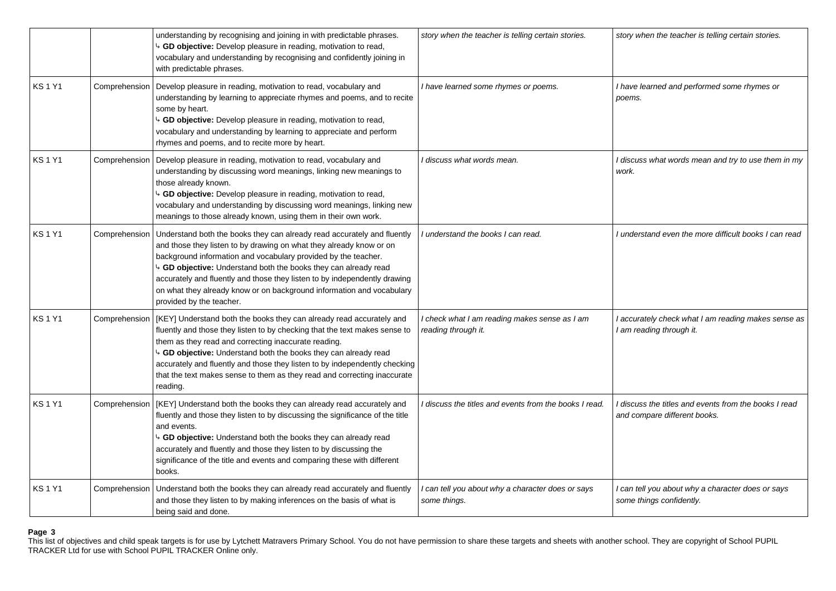|              |               | understanding by recognising and joining in with predictable phrases.<br>GD objective: Develop pleasure in reading, motivation to read,<br>vocabulary and understanding by recognising and confidently joining in<br>with predictable phrases.                                                                                                                                                                                                                        | story when the teacher is telling certain stories.                   | story when the teacher is telling certain stories.                                  |
|--------------|---------------|-----------------------------------------------------------------------------------------------------------------------------------------------------------------------------------------------------------------------------------------------------------------------------------------------------------------------------------------------------------------------------------------------------------------------------------------------------------------------|----------------------------------------------------------------------|-------------------------------------------------------------------------------------|
| <b>KS1Y1</b> |               | Comprehension   Develop pleasure in reading, motivation to read, vocabulary and<br>understanding by learning to appreciate rhymes and poems, and to recite<br>some by heart.<br>GD objective: Develop pleasure in reading, motivation to read,<br>vocabulary and understanding by learning to appreciate and perform<br>rhymes and poems, and to recite more by heart.                                                                                                | I have learned some rhymes or poems.                                 | I have learned and performed some rhymes or<br>poems.                               |
| <b>KS1Y1</b> | Comprehension | Develop pleasure in reading, motivation to read, vocabulary and<br>understanding by discussing word meanings, linking new meanings to<br>those already known.<br><sup>4</sup> GD objective: Develop pleasure in reading, motivation to read,<br>vocabulary and understanding by discussing word meanings, linking new<br>meanings to those already known, using them in their own work.                                                                               | I discuss what words mean.                                           | I discuss what words mean and try to use them in my<br>work.                        |
| <b>KS1Y1</b> | Comprehension | Understand both the books they can already read accurately and fluently<br>and those they listen to by drawing on what they already know or on<br>background information and vocabulary provided by the teacher.<br>b GD objective: Understand both the books they can already read<br>accurately and fluently and those they listen to by independently drawing<br>on what they already know or on background information and vocabulary<br>provided by the teacher. | I understand the books I can read.                                   | I understand even the more difficult books I can read                               |
| <b>KS1Y1</b> | Comprehension | [KEY] Understand both the books they can already read accurately and<br>fluently and those they listen to by checking that the text makes sense to<br>them as they read and correcting inaccurate reading.<br>4 GD objective: Understand both the books they can already read<br>accurately and fluently and those they listen to by independently checking<br>that the text makes sense to them as they read and correcting inaccurate<br>reading.                   | I check what I am reading makes sense as I am<br>reading through it. | I accurately check what I am reading makes sense as<br>I am reading through it.     |
| <b>KS1Y1</b> | Comprehension | [KEY] Understand both the books they can already read accurately and<br>fluently and those they listen to by discussing the significance of the title<br>and events.<br>4 GD objective: Understand both the books they can already read<br>accurately and fluently and those they listen to by discussing the<br>significance of the title and events and comparing these with different<br>books.                                                                    | discuss the titles and events from the books I read.                 | discuss the titles and events from the books I read<br>and compare different books. |
| <b>KS1Y1</b> | Comprehension | Understand both the books they can already read accurately and fluently<br>and those they listen to by making inferences on the basis of what is<br>being said and done.                                                                                                                                                                                                                                                                                              | I can tell you about why a character does or says<br>some things.    | I can tell you about why a character does or says<br>some things confidently.       |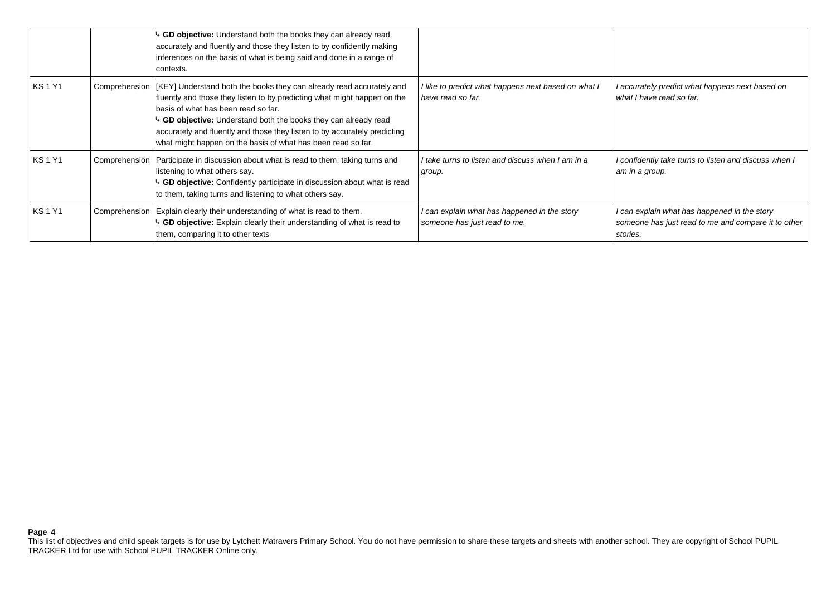|              |               | GD objective: Understand both the books they can already read<br>accurately and fluently and those they listen to by confidently making<br>inferences on the basis of what is being said and done in a range of<br>contexts.                                                                                                                                                                                          |                                                                              |                                                                                                                 |
|--------------|---------------|-----------------------------------------------------------------------------------------------------------------------------------------------------------------------------------------------------------------------------------------------------------------------------------------------------------------------------------------------------------------------------------------------------------------------|------------------------------------------------------------------------------|-----------------------------------------------------------------------------------------------------------------|
| <b>KS1Y1</b> |               | Comprehension   [KEY] Understand both the books they can already read accurately and<br>fluently and those they listen to by predicting what might happen on the<br>basis of what has been read so far.<br>GD objective: Understand both the books they can already read<br>accurately and fluently and those they listen to by accurately predicting<br>what might happen on the basis of what has been read so far. | like to predict what happens next based on what I<br>have read so far.       | accurately predict what happens next based on<br>what I have read so far.                                       |
| <b>KS1Y1</b> | Comprehension | Participate in discussion about what is read to them, taking turns and<br>listening to what others say.<br>GD objective: Confidently participate in discussion about what is read<br>to them, taking turns and listening to what others say.                                                                                                                                                                          | I take turns to listen and discuss when I am in a<br>group.                  | I confidently take turns to listen and discuss when I<br>am in a group.                                         |
| <b>KS1Y1</b> | Comprehension | Explain clearly their understanding of what is read to them.<br>GD objective: Explain clearly their understanding of what is read to<br>them, comparing it to other texts                                                                                                                                                                                                                                             | I can explain what has happened in the story<br>someone has just read to me. | I can explain what has happened in the story<br>someone has just read to me and compare it to other<br>stories. |

This list of objectives and child speak targets is for use by Lytchett Matravers Primary School. You do not have permission to share these targets and sheets with another school. They are copyright of School PUPIL TRACKER Ltd for use with School PUPIL TRACKER Online only.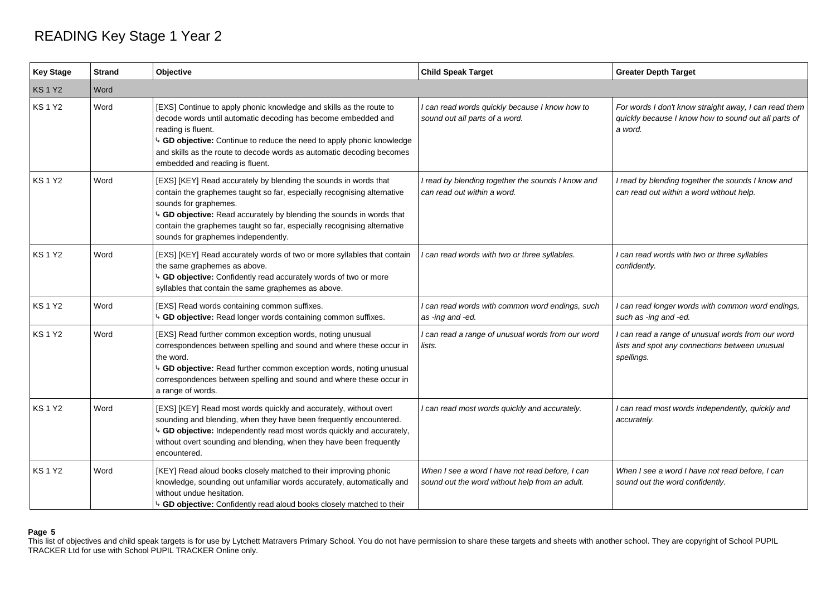# READING Key Stage 1 Year 2

| <b>Key Stage</b> | <b>Strand</b> | Objective                                                                                                                                                                                                                                                                                                                                                      | <b>Child Speak Target</b>                                                                         | <b>Greater Depth Target</b>                                                                                              |
|------------------|---------------|----------------------------------------------------------------------------------------------------------------------------------------------------------------------------------------------------------------------------------------------------------------------------------------------------------------------------------------------------------------|---------------------------------------------------------------------------------------------------|--------------------------------------------------------------------------------------------------------------------------|
| <b>KS1Y2</b>     | Word          |                                                                                                                                                                                                                                                                                                                                                                |                                                                                                   |                                                                                                                          |
| <b>KS1Y2</b>     | Word          | [EXS] Continue to apply phonic knowledge and skills as the route to<br>decode words until automatic decoding has become embedded and<br>reading is fluent.<br>4 GD objective: Continue to reduce the need to apply phonic knowledge<br>and skills as the route to decode words as automatic decoding becomes<br>embedded and reading is fluent.                | I can read words quickly because I know how to<br>sound out all parts of a word.                  | For words I don't know straight away, I can read them<br>quickly because I know how to sound out all parts of<br>a word. |
| <b>KS1Y2</b>     | Word          | [EXS] [KEY] Read accurately by blending the sounds in words that<br>contain the graphemes taught so far, especially recognising alternative<br>sounds for graphemes.<br>4 GD objective: Read accurately by blending the sounds in words that<br>contain the graphemes taught so far, especially recognising alternative<br>sounds for graphemes independently. | I read by blending together the sounds I know and<br>can read out within a word.                  | I read by blending together the sounds I know and<br>can read out within a word without help.                            |
| <b>KS1Y2</b>     | Word          | [EXS] [KEY] Read accurately words of two or more syllables that contain<br>the same graphemes as above.<br>GD objective: Confidently read accurately words of two or more<br>syllables that contain the same graphemes as above.                                                                                                                               | I can read words with two or three syllables.                                                     | I can read words with two or three syllables<br>confidently.                                                             |
| <b>KS1Y2</b>     | Word          | [EXS] Read words containing common suffixes.<br>GD objective: Read longer words containing common suffixes.                                                                                                                                                                                                                                                    | I can read words with common word endings, such<br>as -ing and -ed.                               | I can read longer words with common word endings,<br>such as -ing and -ed.                                               |
| <b>KS1Y2</b>     | Word          | [EXS] Read further common exception words, noting unusual<br>correspondences between spelling and sound and where these occur in<br>the word.<br>GD objective: Read further common exception words, noting unusual<br>correspondences between spelling and sound and where these occur in<br>a range of words.                                                 | I can read a range of unusual words from our word<br>lists.                                       | I can read a range of unusual words from our word<br>lists and spot any connections between unusual<br>spellings.        |
| <b>KS1Y2</b>     | Word          | [EXS] [KEY] Read most words quickly and accurately, without overt<br>sounding and blending, when they have been frequently encountered.<br>GD objective: Independently read most words quickly and accurately,<br>without overt sounding and blending, when they have been frequently<br>encountered.                                                          | I can read most words quickly and accurately.                                                     | I can read most words independently, quickly and<br>accurately.                                                          |
| <b>KS1Y2</b>     | Word          | [KEY] Read aloud books closely matched to their improving phonic<br>knowledge, sounding out unfamiliar words accurately, automatically and<br>without undue hesitation.<br>GD objective: Confidently read aloud books closely matched to their                                                                                                                 | When I see a word I have not read before, I can<br>sound out the word without help from an adult. | When I see a word I have not read before, I can<br>sound out the word confidently.                                       |

#### **Page 5**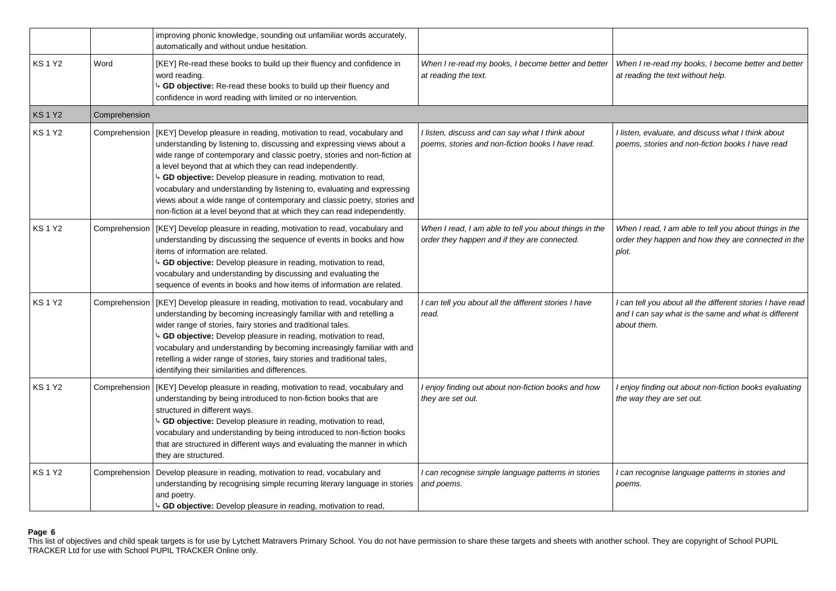|              |               | improving phonic knowledge, sounding out unfamiliar words accurately,<br>automatically and without undue hesitation.                                                                                                                                                                                                                                                                                                                                                                                                                                                                                        |                                                                                                        |                                                                                                                                   |
|--------------|---------------|-------------------------------------------------------------------------------------------------------------------------------------------------------------------------------------------------------------------------------------------------------------------------------------------------------------------------------------------------------------------------------------------------------------------------------------------------------------------------------------------------------------------------------------------------------------------------------------------------------------|--------------------------------------------------------------------------------------------------------|-----------------------------------------------------------------------------------------------------------------------------------|
| <b>KS1Y2</b> | Word          | [KEY] Re-read these books to build up their fluency and confidence in<br>word reading.<br><sup>4</sup> GD objective: Re-read these books to build up their fluency and<br>confidence in word reading with limited or no intervention.                                                                                                                                                                                                                                                                                                                                                                       | When I re-read my books, I become better and better<br>at reading the text.                            | When I re-read my books, I become better and better<br>at reading the text without help.                                          |
| <b>KS1Y2</b> | Comprehension |                                                                                                                                                                                                                                                                                                                                                                                                                                                                                                                                                                                                             |                                                                                                        |                                                                                                                                   |
| <b>KS1Y2</b> | Comprehension | [KEY] Develop pleasure in reading, motivation to read, vocabulary and<br>understanding by listening to, discussing and expressing views about a<br>wide range of contemporary and classic poetry, stories and non-fiction at<br>a level beyond that at which they can read independently.<br><sup>4</sup> GD objective: Develop pleasure in reading, motivation to read,<br>vocabulary and understanding by listening to, evaluating and expressing<br>views about a wide range of contemporary and classic poetry, stories and<br>non-fiction at a level beyond that at which they can read independently. | I listen, discuss and can say what I think about<br>poems, stories and non-fiction books I have read.  | I listen, evaluate, and discuss what I think about<br>poems, stories and non-fiction books I have read                            |
| <b>KS1Y2</b> |               | Comprehension   [KEY] Develop pleasure in reading, motivation to read, vocabulary and<br>understanding by discussing the sequence of events in books and how<br>items of information are related.<br><sup>4</sup> GD objective: Develop pleasure in reading, motivation to read,<br>vocabulary and understanding by discussing and evaluating the<br>sequence of events in books and how items of information are related.                                                                                                                                                                                  | When I read, I am able to tell you about things in the<br>order they happen and if they are connected. | When I read, I am able to tell you about things in the<br>order they happen and how they are connected in the<br>plot.            |
| <b>KS1Y2</b> | Comprehension | [KEY] Develop pleasure in reading, motivation to read, vocabulary and<br>understanding by becoming increasingly familiar with and retelling a<br>wider range of stories, fairy stories and traditional tales.<br>GD objective: Develop pleasure in reading, motivation to read,<br>vocabulary and understanding by becoming increasingly familiar with and<br>retelling a wider range of stories, fairy stories and traditional tales,<br>identifying their similarities and differences.                                                                                                                   | I can tell you about all the different stories I have<br>read.                                         | I can tell you about all the different stories I have read<br>and I can say what is the same and what is different<br>about them. |
| <b>KS1Y2</b> | Comprehension | [KEY] Develop pleasure in reading, motivation to read, vocabulary and<br>understanding by being introduced to non-fiction books that are<br>structured in different ways.<br>GD objective: Develop pleasure in reading, motivation to read,<br>vocabulary and understanding by being introduced to non-fiction books<br>that are structured in different ways and evaluating the manner in which<br>they are structured.                                                                                                                                                                                    | I enjoy finding out about non-fiction books and how<br>they are set out.                               | l enjoy finding out about non-fiction books evaluating<br>the way they are set out.                                               |
| <b>KS1Y2</b> | Comprehension | Develop pleasure in reading, motivation to read, vocabulary and<br>understanding by recognising simple recurring literary language in stories<br>and poetry.<br><sup>4</sup> GD objective: Develop pleasure in reading, motivation to read,                                                                                                                                                                                                                                                                                                                                                                 | I can recognise simple language patterns in stories<br>and poems.                                      | I can recognise language patterns in stories and<br>poems.                                                                        |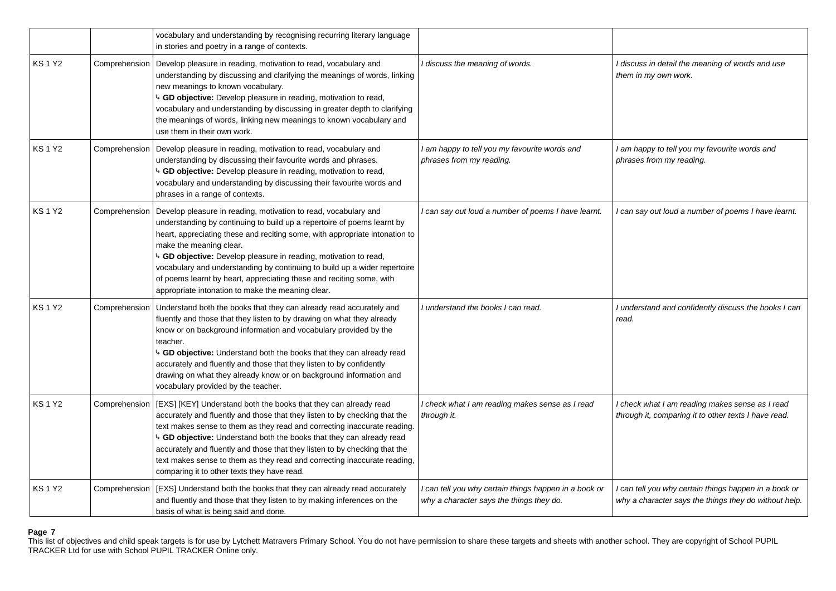|              |               | vocabulary and understanding by recognising recurring literary language<br>in stories and poetry in a range of contexts.                                                                                                                                                                                                                                                                                                                                                                                                                      |                                                                                                   |                                                                                                              |
|--------------|---------------|-----------------------------------------------------------------------------------------------------------------------------------------------------------------------------------------------------------------------------------------------------------------------------------------------------------------------------------------------------------------------------------------------------------------------------------------------------------------------------------------------------------------------------------------------|---------------------------------------------------------------------------------------------------|--------------------------------------------------------------------------------------------------------------|
| <b>KS1Y2</b> |               | Comprehension   Develop pleasure in reading, motivation to read, vocabulary and<br>understanding by discussing and clarifying the meanings of words, linking<br>new meanings to known vocabulary.<br>4 GD objective: Develop pleasure in reading, motivation to read,<br>vocabulary and understanding by discussing in greater depth to clarifying<br>the meanings of words, linking new meanings to known vocabulary and<br>use them in their own work.                                                                                      | I discuss the meaning of words.                                                                   | I discuss in detail the meaning of words and use<br>them in my own work.                                     |
| <b>KS1Y2</b> | Comprehension | Develop pleasure in reading, motivation to read, vocabulary and<br>understanding by discussing their favourite words and phrases.<br>4 GD objective: Develop pleasure in reading, motivation to read,<br>vocabulary and understanding by discussing their favourite words and<br>phrases in a range of contexts.                                                                                                                                                                                                                              | I am happy to tell you my favourite words and<br>phrases from my reading.                         | I am happy to tell you my favourite words and<br>phrases from my reading.                                    |
| <b>KS1Y2</b> | Comprehension | Develop pleasure in reading, motivation to read, vocabulary and<br>understanding by continuing to build up a repertoire of poems learnt by<br>heart, appreciating these and reciting some, with appropriate intonation to<br>make the meaning clear.<br><sup>4</sup> GD objective: Develop pleasure in reading, motivation to read,<br>vocabulary and understanding by continuing to build up a wider repertoire<br>of poems learnt by heart, appreciating these and reciting some, with<br>appropriate intonation to make the meaning clear. | I can say out loud a number of poems I have learnt.                                               | I can say out loud a number of poems I have learnt.                                                          |
| <b>KS1Y2</b> | Comprehension | Understand both the books that they can already read accurately and<br>fluently and those that they listen to by drawing on what they already<br>know or on background information and vocabulary provided by the<br>teacher.<br>GD objective: Understand both the books that they can already read<br>accurately and fluently and those that they listen to by confidently<br>drawing on what they already know or on background information and<br>vocabulary provided by the teacher.                                                      | I understand the books I can read.                                                                | I understand and confidently discuss the books I can<br>read.                                                |
| <b>KS1Y2</b> | Comprehension | [EXS] [KEY] Understand both the books that they can already read<br>accurately and fluently and those that they listen to by checking that the<br>text makes sense to them as they read and correcting inaccurate reading.<br>b GD objective: Understand both the books that they can already read<br>accurately and fluently and those that they listen to by checking that the<br>text makes sense to them as they read and correcting inaccurate reading,<br>comparing it to other texts they have read.                                   | I check what I am reading makes sense as I read<br>through it.                                    | I check what I am reading makes sense as I read<br>through it, comparing it to other texts I have read.      |
| <b>KS1Y2</b> |               | Comprehension   [EXS] Understand both the books that they can already read accurately<br>and fluently and those that they listen to by making inferences on the<br>basis of what is being said and done.                                                                                                                                                                                                                                                                                                                                      | I can tell you why certain things happen in a book or<br>why a character says the things they do. | can tell you why certain things happen in a book or<br>why a character says the things they do without help. |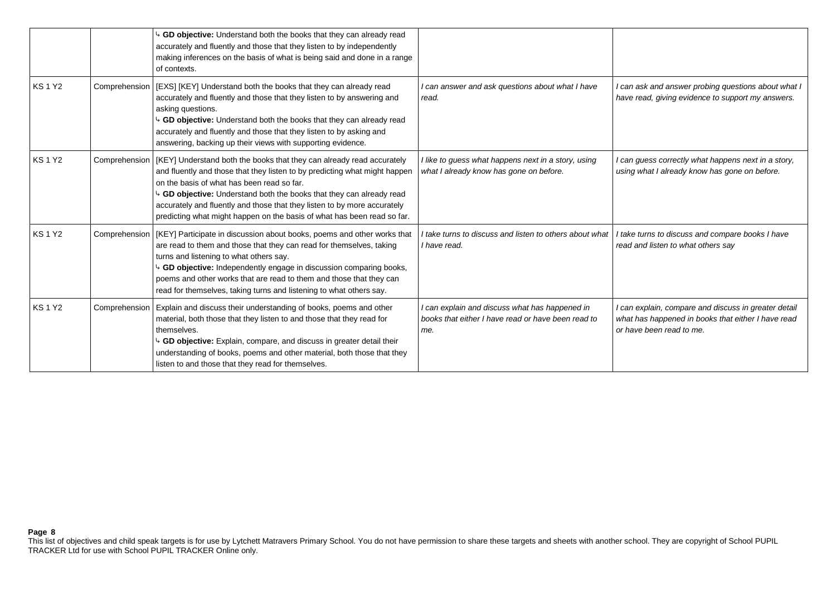|              |               | GD objective: Understand both the books that they can already read<br>accurately and fluently and those that they listen to by independently<br>making inferences on the basis of what is being said and done in a range<br>of contexts.                                                                                                                                                                                       |                                                                                                             |                                                                                                                                        |
|--------------|---------------|--------------------------------------------------------------------------------------------------------------------------------------------------------------------------------------------------------------------------------------------------------------------------------------------------------------------------------------------------------------------------------------------------------------------------------|-------------------------------------------------------------------------------------------------------------|----------------------------------------------------------------------------------------------------------------------------------------|
| <b>KS1Y2</b> | Comprehension | [EXS] [KEY] Understand both the books that they can already read<br>accurately and fluently and those that they listen to by answering and<br>asking questions.<br><sup>4</sup> GD objective: Understand both the books that they can already read<br>accurately and fluently and those that they listen to by asking and<br>answering, backing up their views with supporting evidence.                                       | I can answer and ask questions about what I have<br>read.                                                   | I can ask and answer probing questions about what I<br>have read, giving evidence to support my answers.                               |
| <b>KS1Y2</b> | Comprehension | [KEY] Understand both the books that they can already read accurately<br>and fluently and those that they listen to by predicting what might happen<br>on the basis of what has been read so far.<br>GD objective: Understand both the books that they can already read<br>accurately and fluently and those that they listen to by more accurately<br>predicting what might happen on the basis of what has been read so far. | I like to guess what happens next in a story, using<br>what I already know has gone on before.              | I can guess correctly what happens next in a story,<br>using what I already know has gone on before.                                   |
| <b>KS1Y2</b> | Comprehension | [KEY] Participate in discussion about books, poems and other works that<br>are read to them and those that they can read for themselves, taking<br>turns and listening to what others say.<br><sup>4</sup> GD objective: Independently engage in discussion comparing books,<br>poems and other works that are read to them and those that they can<br>read for themselves, taking turns and listening to what others say.     | I take turns to discuss and listen to others about what<br>I have read.                                     | I take turns to discuss and compare books I have<br>read and listen to what others say                                                 |
| <b>KS1Y2</b> | Comprehension | Explain and discuss their understanding of books, poems and other<br>material, both those that they listen to and those that they read for<br>themselves.<br><sup>4</sup> GD objective: Explain, compare, and discuss in greater detail their<br>understanding of books, poems and other material, both those that they<br>listen to and those that they read for themselves.                                                  | I can explain and discuss what has happened in<br>books that either I have read or have been read to<br>me. | I can explain, compare and discuss in greater detail<br>what has happened in books that either I have read<br>or have been read to me. |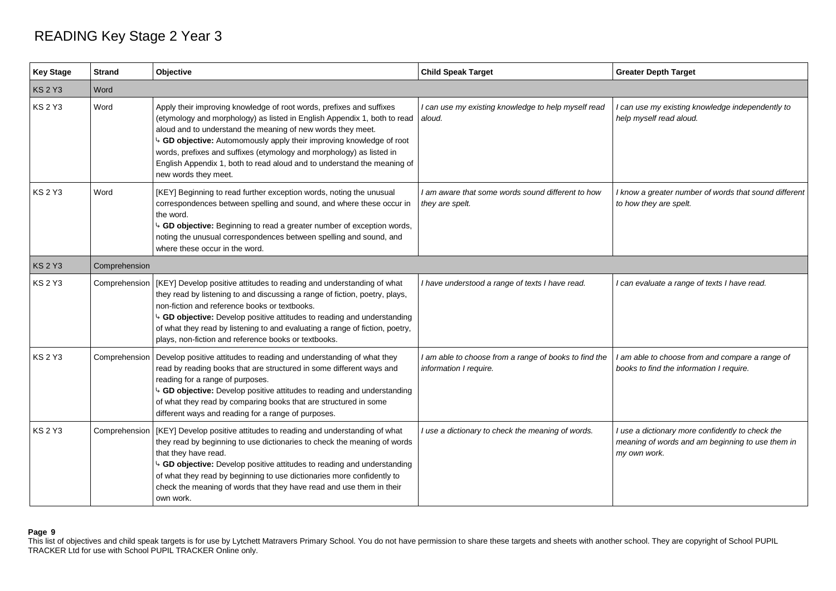# READING Key Stage 2 Year 3

| <b>Key Stage</b> | <b>Strand</b> | Objective                                                                                                                                                                                                                                                                                                                                                                                                                                                                     | <b>Child Speak Target</b>                                                       | <b>Greater Depth Target</b>                                                                                          |
|------------------|---------------|-------------------------------------------------------------------------------------------------------------------------------------------------------------------------------------------------------------------------------------------------------------------------------------------------------------------------------------------------------------------------------------------------------------------------------------------------------------------------------|---------------------------------------------------------------------------------|----------------------------------------------------------------------------------------------------------------------|
| <b>KS 2 Y3</b>   | Word          |                                                                                                                                                                                                                                                                                                                                                                                                                                                                               |                                                                                 |                                                                                                                      |
| <b>KS 2 Y3</b>   | Word          | Apply their improving knowledge of root words, prefixes and suffixes<br>(etymology and morphology) as listed in English Appendix 1, both to read<br>aloud and to understand the meaning of new words they meet.<br><sup>1</sup> GD objective: Automomously apply their improving knowledge of root<br>words, prefixes and suffixes (etymology and morphology) as listed in<br>English Appendix 1, both to read aloud and to understand the meaning of<br>new words they meet. | I can use my existing knowledge to help myself read<br>aloud.                   | I can use my existing knowledge independently to<br>help myself read aloud.                                          |
| <b>KS 2 Y3</b>   | Word          | [KEY] Beginning to read further exception words, noting the unusual<br>correspondences between spelling and sound, and where these occur in<br>the word.<br>4 GD objective: Beginning to read a greater number of exception words,<br>noting the unusual correspondences between spelling and sound, and<br>where these occur in the word.                                                                                                                                    | I am aware that some words sound different to how<br>they are spelt.            | I know a greater number of words that sound different<br>to how they are spelt.                                      |
| <b>KS2Y3</b>     | Comprehension |                                                                                                                                                                                                                                                                                                                                                                                                                                                                               |                                                                                 |                                                                                                                      |
| <b>KS2Y3</b>     | Comprehension | [KEY] Develop positive attitudes to reading and understanding of what<br>they read by listening to and discussing a range of fiction, poetry, plays,<br>non-fiction and reference books or textbooks.<br>4 GD objective: Develop positive attitudes to reading and understanding<br>of what they read by listening to and evaluating a range of fiction, poetry,<br>plays, non-fiction and reference books or textbooks.                                                      | I have understood a range of texts I have read.                                 | I can evaluate a range of texts I have read.                                                                         |
| <b>KS 2 Y3</b>   | Comprehension | Develop positive attitudes to reading and understanding of what they<br>read by reading books that are structured in some different ways and<br>reading for a range of purposes.<br><sup>1</sup> GD objective: Develop positive attitudes to reading and understanding<br>of what they read by comparing books that are structured in some<br>different ways and reading for a range of purposes.                                                                             | I am able to choose from a range of books to find the<br>information I require. | am able to choose from and compare a range of<br>books to find the information I require.                            |
| <b>KS 2 Y3</b>   | Comprehension | [KEY] Develop positive attitudes to reading and understanding of what<br>they read by beginning to use dictionaries to check the meaning of words<br>that they have read.<br><sup>4</sup> GD objective: Develop positive attitudes to reading and understanding<br>of what they read by beginning to use dictionaries more confidently to<br>check the meaning of words that they have read and use them in their<br>own work.                                                | I use a dictionary to check the meaning of words.                               | I use a dictionary more confidently to check the<br>meaning of words and am beginning to use them in<br>my own work. |

# **Page 9**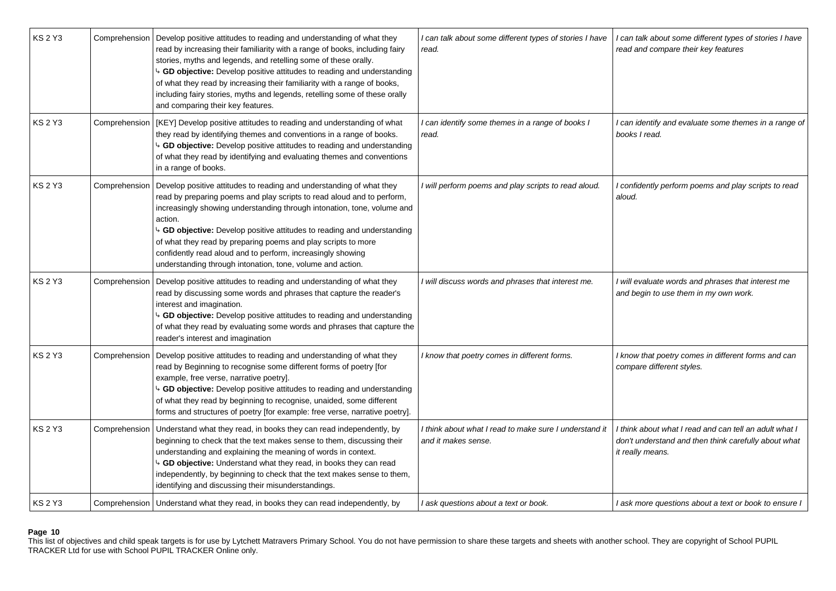| <b>KS 2 Y3</b> | Comprehension | Develop positive attitudes to reading and understanding of what they<br>read by increasing their familiarity with a range of books, including fairy<br>stories, myths and legends, and retelling some of these orally.<br>4 GD objective: Develop positive attitudes to reading and understanding<br>of what they read by increasing their familiarity with a range of books,<br>including fairy stories, myths and legends, retelling some of these orally<br>and comparing their key features.              | I can talk about some different types of stories I have<br>read.              | I can talk about some different types of stories I have<br>read and compare their key features                                     |
|----------------|---------------|---------------------------------------------------------------------------------------------------------------------------------------------------------------------------------------------------------------------------------------------------------------------------------------------------------------------------------------------------------------------------------------------------------------------------------------------------------------------------------------------------------------|-------------------------------------------------------------------------------|------------------------------------------------------------------------------------------------------------------------------------|
| <b>KS 2 Y3</b> | Comprehension | [KEY] Develop positive attitudes to reading and understanding of what<br>they read by identifying themes and conventions in a range of books.<br>b GD objective: Develop positive attitudes to reading and understanding<br>of what they read by identifying and evaluating themes and conventions<br>in a range of books.                                                                                                                                                                                    | I can identify some themes in a range of books I<br>read.                     | I can identify and evaluate some themes in a range of<br>books I read.                                                             |
| <b>KS 2 Y3</b> | Comprehension | Develop positive attitudes to reading and understanding of what they<br>read by preparing poems and play scripts to read aloud and to perform,<br>increasingly showing understanding through intonation, tone, volume and<br>action.<br>4 GD objective: Develop positive attitudes to reading and understanding<br>of what they read by preparing poems and play scripts to more<br>confidently read aloud and to perform, increasingly showing<br>understanding through intonation, tone, volume and action. | I will perform poems and play scripts to read aloud.                          | confidently perform poems and play scripts to read<br>aloud.                                                                       |
| <b>KS 2 Y3</b> | Comprehension | Develop positive attitudes to reading and understanding of what they<br>read by discussing some words and phrases that capture the reader's<br>interest and imagination.<br>b GD objective: Develop positive attitudes to reading and understanding<br>of what they read by evaluating some words and phrases that capture the<br>reader's interest and imagination                                                                                                                                           | I will discuss words and phrases that interest me.                            | I will evaluate words and phrases that interest me<br>and begin to use them in my own work.                                        |
| <b>KS 2 Y3</b> | Comprehension | Develop positive attitudes to reading and understanding of what they<br>read by Beginning to recognise some different forms of poetry [for<br>example, free verse, narrative poetry].<br>4 GD objective: Develop positive attitudes to reading and understanding<br>of what they read by beginning to recognise, unaided, some different<br>forms and structures of poetry [for example: free verse, narrative poetry].                                                                                       | I know that poetry comes in different forms.                                  | I know that poetry comes in different forms and can<br>compare different styles.                                                   |
| <b>KS 2 Y3</b> | Comprehension | Understand what they read, in books they can read independently, by<br>beginning to check that the text makes sense to them, discussing their<br>understanding and explaining the meaning of words in context.<br>4 GD objective: Understand what they read, in books they can read<br>independently, by beginning to check that the text makes sense to them,<br>identifying and discussing their misunderstandings.                                                                                         | I think about what I read to make sure I understand it<br>and it makes sense. | I think about what I read and can tell an adult what I<br>don't understand and then think carefully about what<br>it really means. |
| <b>KS2Y3</b>   |               | Comprehension   Understand what they read, in books they can read independently, by                                                                                                                                                                                                                                                                                                                                                                                                                           | l ask questions about a text or book.                                         | I ask more questions about a text or book to ensure I                                                                              |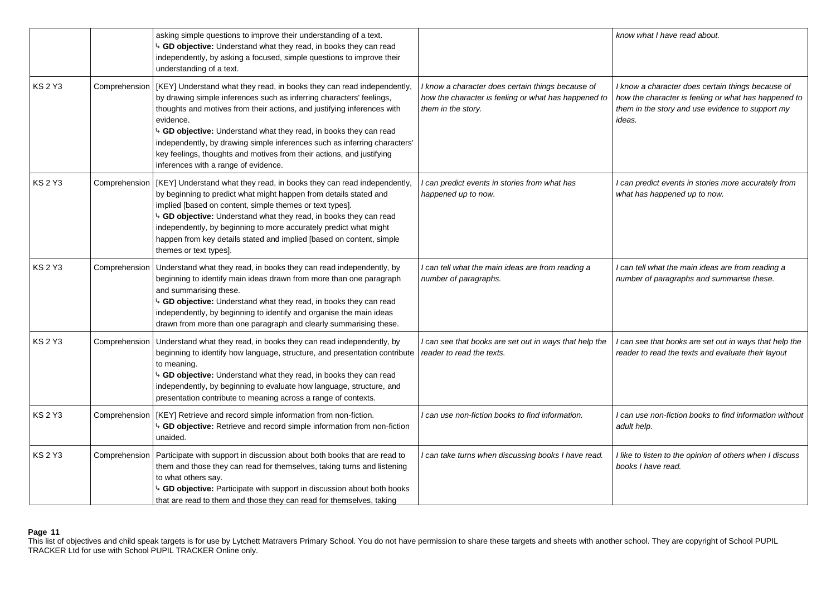|                |               | asking simple questions to improve their understanding of a text.<br><sup>4</sup> GD objective: Understand what they read, in books they can read<br>independently, by asking a focused, simple questions to improve their<br>understanding of a text.                                                                                                                                                                                                                                                               |                                                                                                                                 | know what I have read about.                                                                                                                                            |
|----------------|---------------|----------------------------------------------------------------------------------------------------------------------------------------------------------------------------------------------------------------------------------------------------------------------------------------------------------------------------------------------------------------------------------------------------------------------------------------------------------------------------------------------------------------------|---------------------------------------------------------------------------------------------------------------------------------|-------------------------------------------------------------------------------------------------------------------------------------------------------------------------|
| <b>KS 2 Y3</b> | Comprehension | [KEY] Understand what they read, in books they can read independently,<br>by drawing simple inferences such as inferring characters' feelings,<br>thoughts and motives from their actions, and justifying inferences with<br>evidence.<br><sup>1</sup> GD objective: Understand what they read, in books they can read<br>independently, by drawing simple inferences such as inferring characters'<br>key feelings, thoughts and motives from their actions, and justifying<br>inferences with a range of evidence. | I know a character does certain things because of<br>how the character is feeling or what has happened to<br>them in the story. | I know a character does certain things because of<br>how the character is feeling or what has happened to<br>them in the story and use evidence to support my<br>ideas. |
| <b>KS 2 Y3</b> | Comprehension | [KEY] Understand what they read, in books they can read independently,<br>by beginning to predict what might happen from details stated and<br>implied [based on content, simple themes or text types].<br><sup>1</sup> GD objective: Understand what they read, in books they can read<br>independently, by beginning to more accurately predict what might<br>happen from key details stated and implied [based on content, simple<br>themes or text types].                                                       | can predict events in stories from what has<br>happened up to now.                                                              | I can predict events in stories more accurately from<br>what has happened up to now.                                                                                    |
| <b>KS 2 Y3</b> | Comprehension | Understand what they read, in books they can read independently, by<br>beginning to identify main ideas drawn from more than one paragraph<br>and summarising these.<br><sup>1</sup> GD objective: Understand what they read, in books they can read<br>independently, by beginning to identify and organise the main ideas<br>drawn from more than one paragraph and clearly summarising these.                                                                                                                     | I can tell what the main ideas are from reading a<br>number of paragraphs.                                                      | I can tell what the main ideas are from reading a<br>number of paragraphs and summarise these.                                                                          |
| <b>KS 2 Y3</b> | Comprehension | Understand what they read, in books they can read independently, by<br>beginning to identify how language, structure, and presentation contribute<br>to meaning.<br><sup>1</sup> GD objective: Understand what they read, in books they can read<br>independently, by beginning to evaluate how language, structure, and<br>presentation contribute to meaning across a range of contexts.                                                                                                                           | I can see that books are set out in ways that help the<br>reader to read the texts.                                             | I can see that books are set out in ways that help the<br>reader to read the texts and evaluate their layout                                                            |
| <b>KS 2 Y3</b> | Comprehension | [KEY] Retrieve and record simple information from non-fiction.<br>GD objective: Retrieve and record simple information from non-fiction<br>unaided.                                                                                                                                                                                                                                                                                                                                                                  | I can use non-fiction books to find information.                                                                                | I can use non-fiction books to find information without<br>adult help.                                                                                                  |
| <b>KS 2 Y3</b> | Comprehension | Participate with support in discussion about both books that are read to<br>them and those they can read for themselves, taking turns and listening<br>to what others say.<br>4 GD objective: Participate with support in discussion about both books<br>that are read to them and those they can read for themselves, taking                                                                                                                                                                                        | I can take turns when discussing books I have read.                                                                             | I like to listen to the opinion of others when I discuss<br>books I have read.                                                                                          |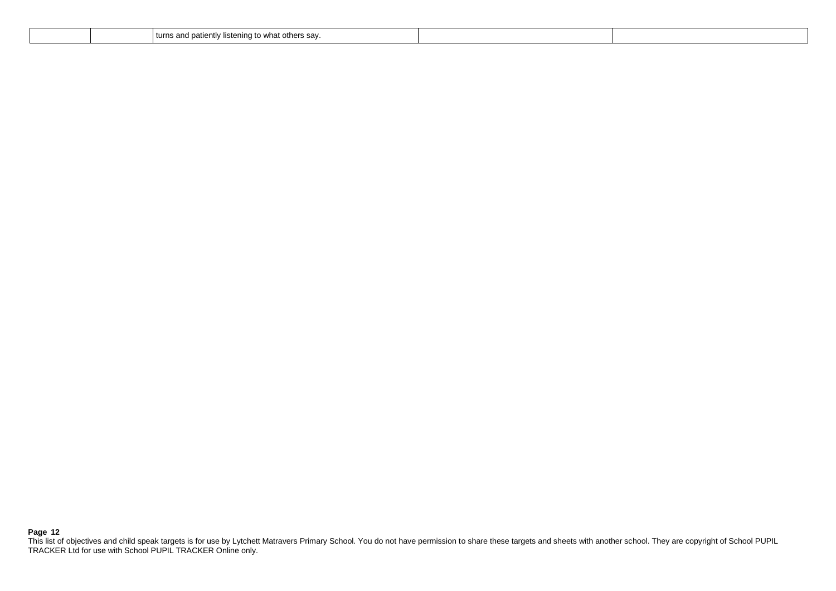|  |  | , what others sav.<br>and patiently<br>∠ listening to what<br>turns<br>ึ |  |  |
|--|--|--------------------------------------------------------------------------|--|--|
|--|--|--------------------------------------------------------------------------|--|--|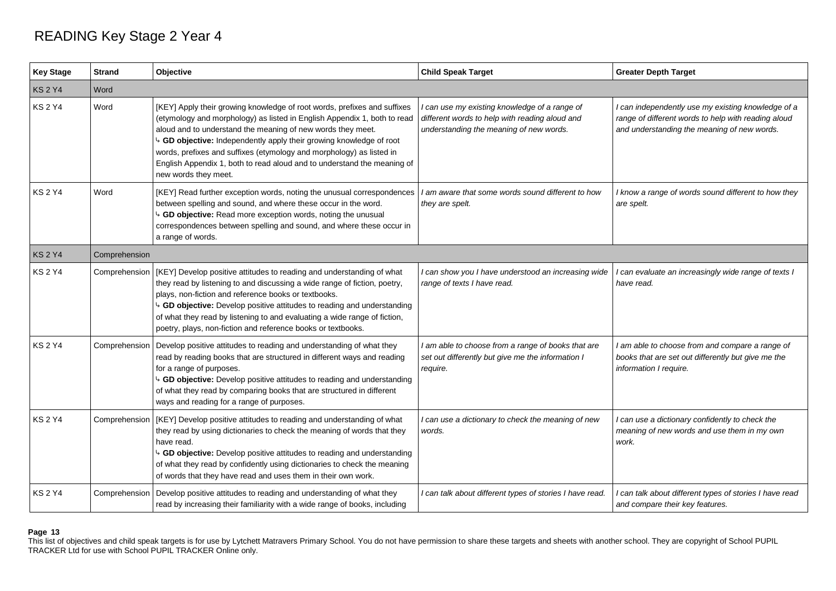# READING Key Stage 2 Year 4

| <b>Key Stage</b> | <b>Strand</b> | Objective                                                                                                                                                                                                                                                                                                                                                                                                                                                             | <b>Child Speak Target</b>                                                                                                                  | <b>Greater Depth Target</b>                                                                                                                              |
|------------------|---------------|-----------------------------------------------------------------------------------------------------------------------------------------------------------------------------------------------------------------------------------------------------------------------------------------------------------------------------------------------------------------------------------------------------------------------------------------------------------------------|--------------------------------------------------------------------------------------------------------------------------------------------|----------------------------------------------------------------------------------------------------------------------------------------------------------|
| <b>KS2Y4</b>     | Word          |                                                                                                                                                                                                                                                                                                                                                                                                                                                                       |                                                                                                                                            |                                                                                                                                                          |
| <b>KS 2 Y4</b>   | Word          | [KEY] Apply their growing knowledge of root words, prefixes and suffixes<br>(etymology and morphology) as listed in English Appendix 1, both to read<br>aloud and to understand the meaning of new words they meet.<br>b GD objective: Independently apply their growing knowledge of root<br>words, prefixes and suffixes (etymology and morphology) as listed in<br>English Appendix 1, both to read aloud and to understand the meaning of<br>new words they meet. | I can use my existing knowledge of a range of<br>different words to help with reading aloud and<br>understanding the meaning of new words. | I can independently use my existing knowledge of a<br>range of different words to help with reading aloud<br>and understanding the meaning of new words. |
| <b>KS 2 Y4</b>   | Word          | [KEY] Read further exception words, noting the unusual correspondences<br>between spelling and sound, and where these occur in the word.<br>4 GD objective: Read more exception words, noting the unusual<br>correspondences between spelling and sound, and where these occur in<br>a range of words.                                                                                                                                                                | I am aware that some words sound different to how<br>they are spelt.                                                                       | I know a range of words sound different to how they<br>are spelt.                                                                                        |
| <b>KS2Y4</b>     | Comprehension |                                                                                                                                                                                                                                                                                                                                                                                                                                                                       |                                                                                                                                            |                                                                                                                                                          |
| <b>KS2Y4</b>     | Comprehension | [KEY] Develop positive attitudes to reading and understanding of what<br>they read by listening to and discussing a wide range of fiction, poetry,<br>plays, non-fiction and reference books or textbooks.<br><sup>4</sup> GD objective: Develop positive attitudes to reading and understanding<br>of what they read by listening to and evaluating a wide range of fiction,<br>poetry, plays, non-fiction and reference books or textbooks.                         | I can show you I have understood an increasing wide<br>range of texts I have read.                                                         | I can evaluate an increasingly wide range of texts I<br>have read.                                                                                       |
| <b>KS 2 Y4</b>   | Comprehension | Develop positive attitudes to reading and understanding of what they<br>read by reading books that are structured in different ways and reading<br>for a range of purposes.<br><sup>4</sup> GD objective: Develop positive attitudes to reading and understanding<br>of what they read by comparing books that are structured in different<br>ways and reading for a range of purposes.                                                                               | I am able to choose from a range of books that are<br>set out differently but give me the information I<br>require.                        | I am able to choose from and compare a range of<br>books that are set out differently but give me the<br>information I require.                          |
| <b>KS 2 Y4</b>   | Comprehension | [KEY] Develop positive attitudes to reading and understanding of what<br>they read by using dictionaries to check the meaning of words that they<br>have read.<br><b>GD objective:</b> Develop positive attitudes to reading and understanding<br>of what they read by confidently using dictionaries to check the meaning<br>of words that they have read and uses them in their own work.                                                                           | I can use a dictionary to check the meaning of new<br>words.                                                                               | I can use a dictionary confidently to check the<br>meaning of new words and use them in my own<br>work.                                                  |
| <b>KS 2 Y4</b>   | Comprehension | Develop positive attitudes to reading and understanding of what they<br>read by increasing their familiarity with a wide range of books, including                                                                                                                                                                                                                                                                                                                    | I can talk about different types of stories I have read.                                                                                   | I can talk about different types of stories I have read<br>and compare their key features.                                                               |

#### **Page 13**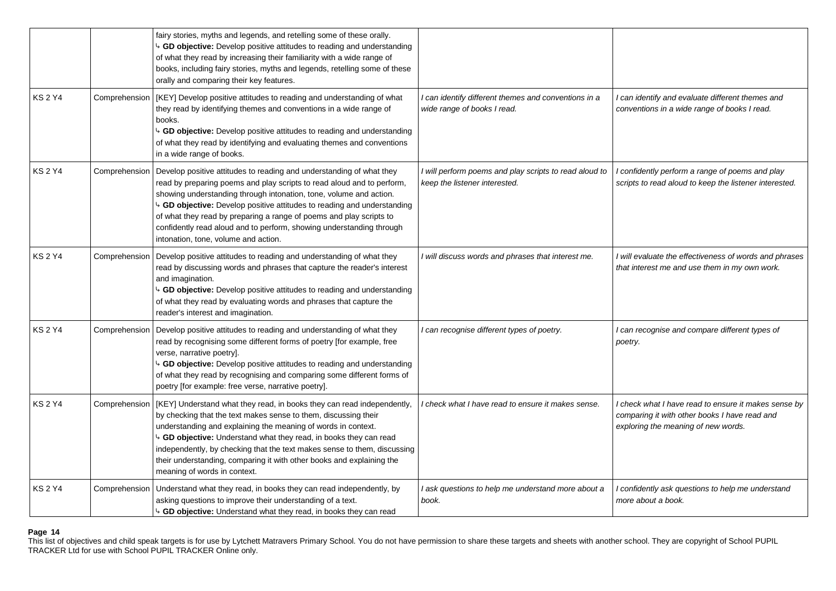|                |               | fairy stories, myths and legends, and retelling some of these orally.<br><sup>1</sup> GD objective: Develop positive attitudes to reading and understanding<br>of what they read by increasing their familiarity with a wide range of<br>books, including fairy stories, myths and legends, retelling some of these<br>orally and comparing their key features.                                                                                                                                   |                                                                                         |                                                                                                                                              |
|----------------|---------------|---------------------------------------------------------------------------------------------------------------------------------------------------------------------------------------------------------------------------------------------------------------------------------------------------------------------------------------------------------------------------------------------------------------------------------------------------------------------------------------------------|-----------------------------------------------------------------------------------------|----------------------------------------------------------------------------------------------------------------------------------------------|
| <b>KS 2 Y4</b> | Comprehension | [KEY] Develop positive attitudes to reading and understanding of what<br>they read by identifying themes and conventions in a wide range of<br>books.<br><sup>4</sup> GD objective: Develop positive attitudes to reading and understanding<br>of what they read by identifying and evaluating themes and conventions<br>in a wide range of books.                                                                                                                                                | I can identify different themes and conventions in a<br>wide range of books I read.     | I can identify and evaluate different themes and<br>conventions in a wide range of books I read.                                             |
| <b>KS 2 Y4</b> | Comprehension | Develop positive attitudes to reading and understanding of what they<br>read by preparing poems and play scripts to read aloud and to perform,<br>showing understanding through intonation, tone, volume and action.<br><sup>4</sup> GD objective: Develop positive attitudes to reading and understanding<br>of what they read by preparing a range of poems and play scripts to<br>confidently read aloud and to perform, showing understanding through<br>intonation, tone, volume and action. | I will perform poems and play scripts to read aloud to<br>keep the listener interested. | I confidently perform a range of poems and play<br>scripts to read aloud to keep the listener interested.                                    |
| <b>KS2Y4</b>   |               | Comprehension   Develop positive attitudes to reading and understanding of what they<br>read by discussing words and phrases that capture the reader's interest<br>and imagination.<br><sup>4</sup> GD objective: Develop positive attitudes to reading and understanding<br>of what they read by evaluating words and phrases that capture the<br>reader's interest and imagination.                                                                                                             | I will discuss words and phrases that interest me.                                      | I will evaluate the effectiveness of words and phrases<br>that interest me and use them in my own work.                                      |
| <b>KS 2 Y4</b> | Comprehension | Develop positive attitudes to reading and understanding of what they<br>read by recognising some different forms of poetry [for example, free<br>verse, narrative poetry].<br><b>GD objective:</b> Develop positive attitudes to reading and understanding<br>of what they read by recognising and comparing some different forms of<br>poetry [for example: free verse, narrative poetry].                                                                                                       | I can recognise different types of poetry.                                              | I can recognise and compare different types of<br>poetry.                                                                                    |
| KS 2 Y4        |               | Comprehension   [KEY] Understand what they read, in books they can read independently,<br>by checking that the text makes sense to them, discussing their<br>understanding and explaining the meaning of words in context.<br>4 GD objective: Understand what they read, in books they can read<br>independently, by checking that the text makes sense to them, discussing<br>their understanding, comparing it with other books and explaining the<br>meaning of words in context.              | I check what I have read to ensure it makes sense.                                      | I check what I have read to ensure it makes sense by<br>comparing it with other books I have read and<br>exploring the meaning of new words. |
| <b>KS 2 Y4</b> |               | Comprehension   Understand what they read, in books they can read independently, by<br>asking questions to improve their understanding of a text.<br>4 GD objective: Understand what they read, in books they can read                                                                                                                                                                                                                                                                            | I ask questions to help me understand more about a<br>book.                             | I confidently ask questions to help me understand<br>more about a book.                                                                      |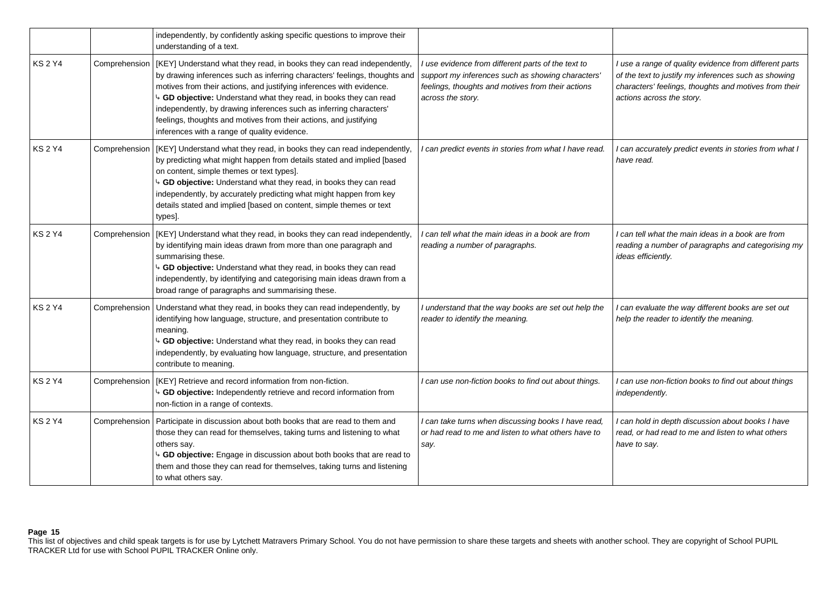|                |               | independently, by confidently asking specific questions to improve their<br>understanding of a text.                                                                                                                                                                                                                                                                                                                                                                                       |                                                                                                                                                                                   |                                                                                                                                                                                                      |
|----------------|---------------|--------------------------------------------------------------------------------------------------------------------------------------------------------------------------------------------------------------------------------------------------------------------------------------------------------------------------------------------------------------------------------------------------------------------------------------------------------------------------------------------|-----------------------------------------------------------------------------------------------------------------------------------------------------------------------------------|------------------------------------------------------------------------------------------------------------------------------------------------------------------------------------------------------|
| <b>KS2Y4</b>   | Comprehension | [KEY] Understand what they read, in books they can read independently,<br>by drawing inferences such as inferring characters' feelings, thoughts and<br>motives from their actions, and justifying inferences with evidence.<br>GD objective: Understand what they read, in books they can read<br>independently, by drawing inferences such as inferring characters'<br>feelings, thoughts and motives from their actions, and justifying<br>inferences with a range of quality evidence. | I use evidence from different parts of the text to<br>support my inferences such as showing characters'<br>feelings, thoughts and motives from their actions<br>across the story. | I use a range of quality evidence from different parts<br>of the text to justify my inferences such as showing<br>characters' feelings, thoughts and motives from their<br>actions across the story. |
| <b>KS 2 Y4</b> | Comprehension | [KEY] Understand what they read, in books they can read independently,<br>by predicting what might happen from details stated and implied [based<br>on content, simple themes or text types].<br>GD objective: Understand what they read, in books they can read<br>independently, by accurately predicting what might happen from key<br>details stated and implied [based on content, simple themes or text<br>types].                                                                   | I can predict events in stories from what I have read.                                                                                                                            | can accurately predict events in stories from what I<br>have read.                                                                                                                                   |
| <b>KS 2 Y4</b> |               | Comprehension   [KEY] Understand what they read, in books they can read independently,<br>by identifying main ideas drawn from more than one paragraph and<br>summarising these.<br>GD objective: Understand what they read, in books they can read<br>independently, by identifying and categorising main ideas drawn from a<br>broad range of paragraphs and summarising these.                                                                                                          | I can tell what the main ideas in a book are from<br>reading a number of paragraphs.                                                                                              | I can tell what the main ideas in a book are from<br>reading a number of paragraphs and categorising my<br>ideas efficiently.                                                                        |
| KS 2 Y4        | Comprehension | Understand what they read, in books they can read independently, by<br>identifying how language, structure, and presentation contribute to<br>meaning.<br><sup>1</sup> GD objective: Understand what they read, in books they can read<br>independently, by evaluating how language, structure, and presentation<br>contribute to meaning.                                                                                                                                                 | I understand that the way books are set out help the<br>reader to identify the meaning.                                                                                           | I can evaluate the way different books are set out<br>help the reader to identify the meaning.                                                                                                       |
| <b>KS 2 Y4</b> | Comprehension | [KEY] Retrieve and record information from non-fiction.<br>GD objective: Independently retrieve and record information from<br>non-fiction in a range of contexts.                                                                                                                                                                                                                                                                                                                         | I can use non-fiction books to find out about things.                                                                                                                             | I can use non-fiction books to find out about things<br>independently.                                                                                                                               |
| <b>KS2Y4</b>   | Comprehension | Participate in discussion about both books that are read to them and<br>those they can read for themselves, taking turns and listening to what<br>others say.<br>4 GD objective: Engage in discussion about both books that are read to<br>them and those they can read for themselves, taking turns and listening<br>to what others say.                                                                                                                                                  | I can take turns when discussing books I have read,<br>or had read to me and listen to what others have to<br>say.                                                                | I can hold in depth discussion about books I have<br>read, or had read to me and listen to what others<br>have to say.                                                                               |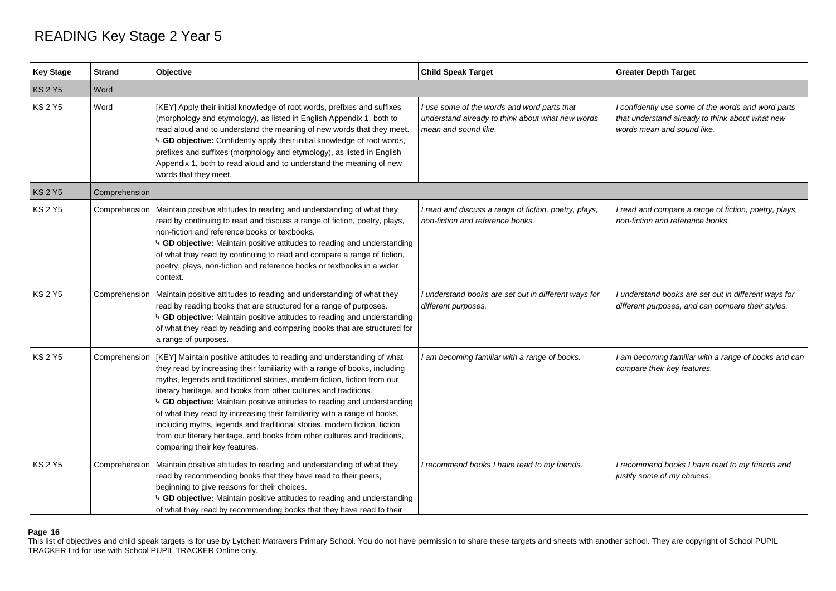# READING Key Stage 2 Year 5

| <b>Key Stage</b> | <b>Strand</b> | Objective                                                                                                                                                                                                                                                                                                                                                                                                                                                                                                                                                                                                                                                          | <b>Child Speak Target</b>                                                                                               | <b>Greater Depth Target</b>                                                                                                         |
|------------------|---------------|--------------------------------------------------------------------------------------------------------------------------------------------------------------------------------------------------------------------------------------------------------------------------------------------------------------------------------------------------------------------------------------------------------------------------------------------------------------------------------------------------------------------------------------------------------------------------------------------------------------------------------------------------------------------|-------------------------------------------------------------------------------------------------------------------------|-------------------------------------------------------------------------------------------------------------------------------------|
| <b>KS 2 Y5</b>   | Word          |                                                                                                                                                                                                                                                                                                                                                                                                                                                                                                                                                                                                                                                                    |                                                                                                                         |                                                                                                                                     |
| KS 2 Y5          | Word          | [KEY] Apply their initial knowledge of root words, prefixes and suffixes<br>(morphology and etymology), as listed in English Appendix 1, both to<br>read aloud and to understand the meaning of new words that they meet.<br><sup>1</sup> GD objective: Confidently apply their initial knowledge of root words,<br>prefixes and suffixes (morphology and etymology), as listed in English<br>Appendix 1, both to read aloud and to understand the meaning of new<br>words that they meet.                                                                                                                                                                         | I use some of the words and word parts that<br>understand already to think about what new words<br>mean and sound like. | I confidently use some of the words and word parts<br>that understand already to think about what new<br>words mean and sound like. |
| <b>KS 2 Y5</b>   | Comprehension |                                                                                                                                                                                                                                                                                                                                                                                                                                                                                                                                                                                                                                                                    |                                                                                                                         |                                                                                                                                     |
| KS 2 Y5          | Comprehension | Maintain positive attitudes to reading and understanding of what they<br>read by continuing to read and discuss a range of fiction, poetry, plays,<br>non-fiction and reference books or textbooks.<br><sup>4</sup> GD objective: Maintain positive attitudes to reading and understanding<br>of what they read by continuing to read and compare a range of fiction,<br>poetry, plays, non-fiction and reference books or textbooks in a wider<br>context.                                                                                                                                                                                                        | I read and discuss a range of fiction, poetry, plays,<br>non-fiction and reference books.                               | I read and compare a range of fiction, poetry, plays,<br>non-fiction and reference books.                                           |
| KS 2 Y5          | Comprehension | Maintain positive attitudes to reading and understanding of what they<br>read by reading books that are structured for a range of purposes.<br><sup>4</sup> GD objective: Maintain positive attitudes to reading and understanding<br>of what they read by reading and comparing books that are structured for<br>a range of purposes.                                                                                                                                                                                                                                                                                                                             | I understand books are set out in different ways for<br>different purposes.                                             | I understand books are set out in different ways for<br>different purposes, and can compare their styles.                           |
| <b>KS 2 Y5</b>   | Comprehension | [KEY] Maintain positive attitudes to reading and understanding of what<br>they read by increasing their familiarity with a range of books, including<br>myths, legends and traditional stories, modern fiction, fiction from our<br>literary heritage, and books from other cultures and traditions.<br><sup>1</sup> GD objective: Maintain positive attitudes to reading and understanding<br>of what they read by increasing their familiarity with a range of books,<br>including myths, legends and traditional stories, modern fiction, fiction<br>from our literary heritage, and books from other cultures and traditions,<br>comparing their key features. | I am becoming familiar with a range of books.                                                                           | I am becoming familiar with a range of books and can<br>compare their key features.                                                 |
| <b>KS 2 Y5</b>   | Comprehension | Maintain positive attitudes to reading and understanding of what they<br>read by recommending books that they have read to their peers,<br>beginning to give reasons for their choices.<br><sup>4</sup> GD objective: Maintain positive attitudes to reading and understanding<br>of what they read by recommending books that they have read to their                                                                                                                                                                                                                                                                                                             | I recommend books I have read to my friends.                                                                            | I recommend books I have read to my friends and<br>justify some of my choices.                                                      |

# **Page 16**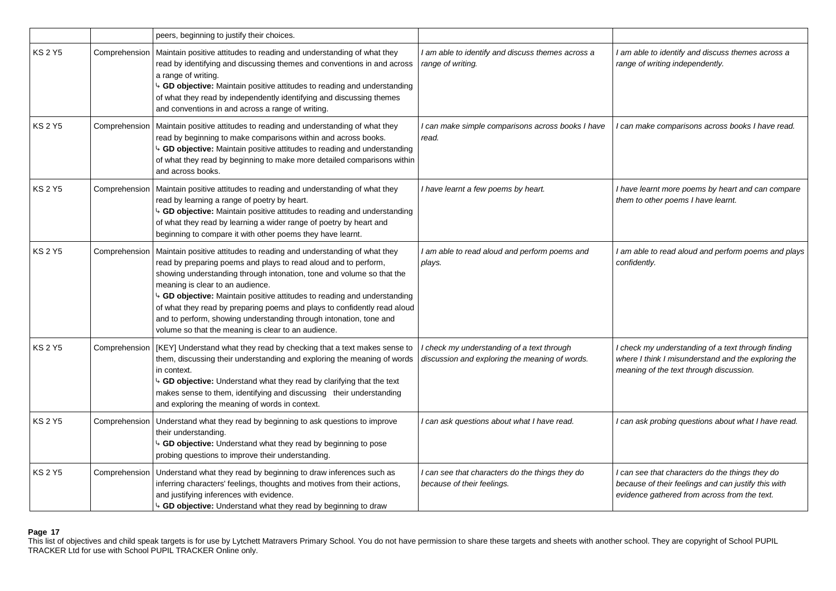|                |               | peers, beginning to justify their choices.                                                                                                                                                                                                                                                                                                                                                                                                                                                                                                            |                                                                                              |                                                                                                                                                        |
|----------------|---------------|-------------------------------------------------------------------------------------------------------------------------------------------------------------------------------------------------------------------------------------------------------------------------------------------------------------------------------------------------------------------------------------------------------------------------------------------------------------------------------------------------------------------------------------------------------|----------------------------------------------------------------------------------------------|--------------------------------------------------------------------------------------------------------------------------------------------------------|
| <b>KS 2 Y5</b> | Comprehension | Maintain positive attitudes to reading and understanding of what they<br>read by identifying and discussing themes and conventions in and across<br>a range of writing.<br><sup>4</sup> GD objective: Maintain positive attitudes to reading and understanding<br>of what they read by independently identifying and discussing themes<br>and conventions in and across a range of writing.                                                                                                                                                           | I am able to identify and discuss themes across a<br>range of writing.                       | I am able to identify and discuss themes across a<br>range of writing independently.                                                                   |
| <b>KS 2 Y5</b> | Comprehension | Maintain positive attitudes to reading and understanding of what they<br>read by beginning to make comparisons within and across books.<br>4 GD objective: Maintain positive attitudes to reading and understanding<br>of what they read by beginning to make more detailed comparisons within<br>and across books.                                                                                                                                                                                                                                   | I can make simple comparisons across books I have<br>read.                                   | can make comparisons across books I have read.                                                                                                         |
| KS 2 Y5        | Comprehension | Maintain positive attitudes to reading and understanding of what they<br>read by learning a range of poetry by heart.<br>4 GD objective: Maintain positive attitudes to reading and understanding<br>of what they read by learning a wider range of poetry by heart and<br>beginning to compare it with other poems they have learnt.                                                                                                                                                                                                                 | I have learnt a few poems by heart.                                                          | I have learnt more poems by heart and can compare<br>them to other poems I have learnt.                                                                |
| <b>KS 2 Y5</b> | Comprehension | Maintain positive attitudes to reading and understanding of what they<br>read by preparing poems and plays to read aloud and to perform,<br>showing understanding through intonation, tone and volume so that the<br>meaning is clear to an audience.<br><sup>1</sup> GD objective: Maintain positive attitudes to reading and understanding<br>of what they read by preparing poems and plays to confidently read aloud<br>and to perform, showing understanding through intonation, tone and<br>volume so that the meaning is clear to an audience. | I am able to read aloud and perform poems and<br>plays.                                      | I am able to read aloud and perform poems and plays<br>confidently.                                                                                    |
| <b>KS 2 Y5</b> | Comprehension | [KEY] Understand what they read by checking that a text makes sense to<br>them, discussing their understanding and exploring the meaning of words<br>in context.<br>4 GD objective: Understand what they read by clarifying that the text<br>makes sense to them, identifying and discussing their understanding<br>and exploring the meaning of words in context.                                                                                                                                                                                    | I check my understanding of a text through<br>discussion and exploring the meaning of words. | I check my understanding of a text through finding<br>where I think I misunderstand and the exploring the<br>meaning of the text through discussion.   |
| <b>KS 2 Y5</b> | Comprehension | Understand what they read by beginning to ask questions to improve<br>their understanding.<br><sup>1</sup> GD objective: Understand what they read by beginning to pose<br>probing questions to improve their understanding.                                                                                                                                                                                                                                                                                                                          | I can ask questions about what I have read.                                                  | I can ask probing questions about what I have read.                                                                                                    |
| <b>KS 2 Y5</b> | Comprehension | Understand what they read by beginning to draw inferences such as<br>inferring characters' feelings, thoughts and motives from their actions,<br>and justifying inferences with evidence.<br><sup>1</sup> GD objective: Understand what they read by beginning to draw                                                                                                                                                                                                                                                                                | I can see that characters do the things they do<br>because of their feelings.                | I can see that characters do the things they do<br>because of their feelings and can justify this with<br>evidence gathered from across from the text. |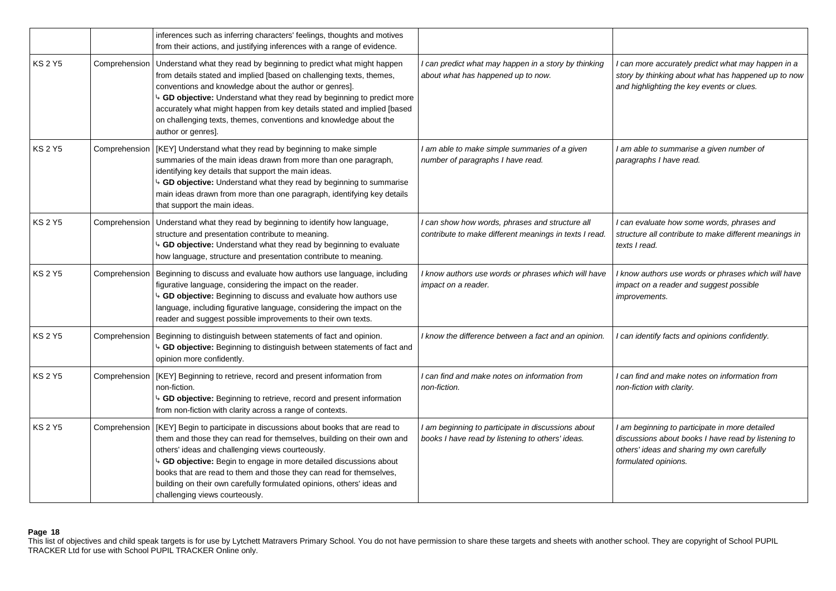|                |               | inferences such as inferring characters' feelings, thoughts and motives<br>from their actions, and justifying inferences with a range of evidence.                                                                                                                                                                                                                                                                                                                       |                                                                                                           |                                                                                                                                                                             |
|----------------|---------------|--------------------------------------------------------------------------------------------------------------------------------------------------------------------------------------------------------------------------------------------------------------------------------------------------------------------------------------------------------------------------------------------------------------------------------------------------------------------------|-----------------------------------------------------------------------------------------------------------|-----------------------------------------------------------------------------------------------------------------------------------------------------------------------------|
| <b>KS 2 Y5</b> | Comprehension | Understand what they read by beginning to predict what might happen<br>from details stated and implied [based on challenging texts, themes,<br>conventions and knowledge about the author or genres].<br><sup>1</sup> GD objective: Understand what they read by beginning to predict more<br>accurately what might happen from key details stated and implied [based<br>on challenging texts, themes, conventions and knowledge about the<br>author or genres].         | I can predict what may happen in a story by thinking<br>about what has happened up to now.                | I can more accurately predict what may happen in a<br>story by thinking about what has happened up to now<br>and highlighting the key events or clues.                      |
| KS 2 Y5        |               | Comprehension   [KEY] Understand what they read by beginning to make simple<br>summaries of the main ideas drawn from more than one paragraph,<br>identifying key details that support the main ideas.<br><sup>1</sup> GD objective: Understand what they read by beginning to summarise<br>main ideas drawn from more than one paragraph, identifying key details<br>that support the main ideas.                                                                       | I am able to make simple summaries of a given<br>number of paragraphs I have read.                        | I am able to summarise a given number of<br>paragraphs I have read.                                                                                                         |
| <b>KS 2 Y5</b> | Comprehension | Understand what they read by beginning to identify how language,<br>structure and presentation contribute to meaning.<br><sup>1</sup> GD objective: Understand what they read by beginning to evaluate<br>how language, structure and presentation contribute to meaning.                                                                                                                                                                                                | I can show how words, phrases and structure all<br>contribute to make different meanings in texts I read. | I can evaluate how some words, phrases and<br>structure all contribute to make different meanings in<br>texts I read.                                                       |
| <b>KS 2 Y5</b> | Comprehension | Beginning to discuss and evaluate how authors use language, including<br>figurative language, considering the impact on the reader.<br><sup>4</sup> GD objective: Beginning to discuss and evaluate how authors use<br>language, including figurative language, considering the impact on the<br>reader and suggest possible improvements to their own texts.                                                                                                            | I know authors use words or phrases which will have<br>impact on a reader.                                | I know authors use words or phrases which will have<br>impact on a reader and suggest possible<br><i>improvements.</i>                                                      |
| KS 2 Y5        | Comprehension | Beginning to distinguish between statements of fact and opinion.<br><sup>4</sup> GD objective: Beginning to distinguish between statements of fact and<br>opinion more confidently.                                                                                                                                                                                                                                                                                      | I know the difference between a fact and an opinion.                                                      | can identify facts and opinions confidently.                                                                                                                                |
| KS 2 Y5        |               | Comprehension   [KEY] Beginning to retrieve, record and present information from<br>non-fiction.<br>GD objective: Beginning to retrieve, record and present information<br>from non-fiction with clarity across a range of contexts.                                                                                                                                                                                                                                     | I can find and make notes on information from<br>non-fiction.                                             | I can find and make notes on information from<br>non-fiction with clarity.                                                                                                  |
| <b>KS 2 Y5</b> | Comprehension | [KEY] Begin to participate in discussions about books that are read to<br>them and those they can read for themselves, building on their own and<br>others' ideas and challenging views courteously.<br><sup>4</sup> GD objective: Begin to engage in more detailed discussions about<br>books that are read to them and those they can read for themselves,<br>building on their own carefully formulated opinions, others' ideas and<br>challenging views courteously. | I am beginning to participate in discussions about<br>books I have read by listening to others' ideas.    | I am beginning to participate in more detailed<br>discussions about books I have read by listening to<br>others' ideas and sharing my own carefully<br>formulated opinions. |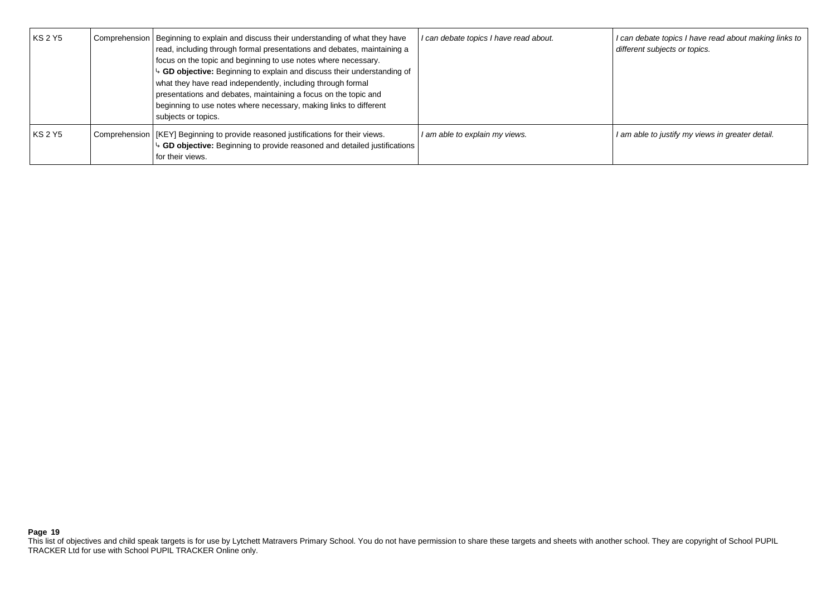| <b>KS 2 Y5</b> | Comprehension   Beginning to explain and discuss their understanding of what they have<br>read, including through formal presentations and debates, maintaining a<br>focus on the topic and beginning to use notes where necessary.<br>GD objective: Beginning to explain and discuss their understanding of<br>what they have read independently, including through formal<br>presentations and debates, maintaining a focus on the topic and<br>beginning to use notes where necessary, making links to different<br>subjects or topics. | I can debate topics I have read about. | I can debate topics I have read about making links to<br>different subjects or topics. |
|----------------|--------------------------------------------------------------------------------------------------------------------------------------------------------------------------------------------------------------------------------------------------------------------------------------------------------------------------------------------------------------------------------------------------------------------------------------------------------------------------------------------------------------------------------------------|----------------------------------------|----------------------------------------------------------------------------------------|
| <b>KS 2 Y5</b> | Comprehension   [KEY] Beginning to provide reasoned justifications for their views.<br><sup>4</sup> GD objective: Beginning to provide reasoned and detailed justifications<br>for their views.                                                                                                                                                                                                                                                                                                                                            | I am able to explain my views.         | I am able to justify my views in greater detail.                                       |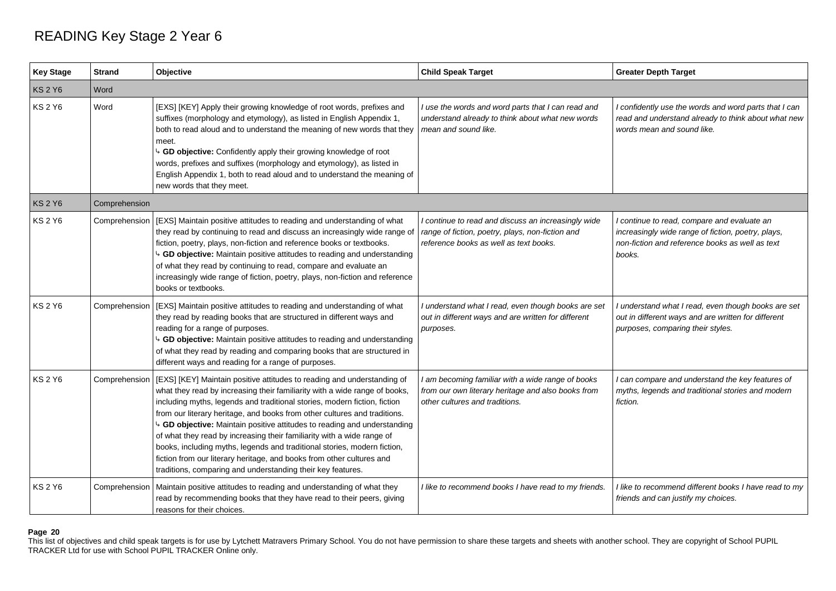# READING Key Stage 2 Year 6

| <b>Key Stage</b> | <b>Strand</b> | Objective                                                                                                                                                                                                                                                                                                                                                                                                                                                                                                                                                                                                                                                                                            | <b>Child Speak Target</b>                                                                                                                         | <b>Greater Depth Target</b>                                                                                                                                    |
|------------------|---------------|------------------------------------------------------------------------------------------------------------------------------------------------------------------------------------------------------------------------------------------------------------------------------------------------------------------------------------------------------------------------------------------------------------------------------------------------------------------------------------------------------------------------------------------------------------------------------------------------------------------------------------------------------------------------------------------------------|---------------------------------------------------------------------------------------------------------------------------------------------------|----------------------------------------------------------------------------------------------------------------------------------------------------------------|
| <b>KS 2 Y6</b>   | Word          |                                                                                                                                                                                                                                                                                                                                                                                                                                                                                                                                                                                                                                                                                                      |                                                                                                                                                   |                                                                                                                                                                |
| <b>KS 2 Y6</b>   | Word          | [EXS] [KEY] Apply their growing knowledge of root words, prefixes and<br>suffixes (morphology and etymology), as listed in English Appendix 1,<br>both to read aloud and to understand the meaning of new words that they<br>meet.<br>4 GD objective: Confidently apply their growing knowledge of root<br>words, prefixes and suffixes (morphology and etymology), as listed in<br>English Appendix 1, both to read aloud and to understand the meaning of<br>new words that they meet.                                                                                                                                                                                                             | I use the words and word parts that I can read and<br>understand already to think about what new words<br>mean and sound like.                    | I confidently use the words and word parts that I can<br>read and understand already to think about what new<br>words mean and sound like.                     |
| <b>KS 2 Y6</b>   | Comprehension |                                                                                                                                                                                                                                                                                                                                                                                                                                                                                                                                                                                                                                                                                                      |                                                                                                                                                   |                                                                                                                                                                |
| <b>KS 2 Y6</b>   | Comprehension | EXS] Maintain positive attitudes to reading and understanding of what<br>they read by continuing to read and discuss an increasingly wide range of<br>fiction, poetry, plays, non-fiction and reference books or textbooks.<br>b GD objective: Maintain positive attitudes to reading and understanding<br>of what they read by continuing to read, compare and evaluate an<br>increasingly wide range of fiction, poetry, plays, non-fiction and reference<br>books or textbooks.                                                                                                                                                                                                                   | I continue to read and discuss an increasingly wide<br>range of fiction, poetry, plays, non-fiction and<br>reference books as well as text books. | I continue to read, compare and evaluate an<br>increasingly wide range of fiction, poetry, plays,<br>non-fiction and reference books as well as text<br>books. |
| <b>KS 2 Y6</b>   | Comprehension | EXS] Maintain positive attitudes to reading and understanding of what<br>they read by reading books that are structured in different ways and<br>reading for a range of purposes.<br>b GD objective: Maintain positive attitudes to reading and understanding<br>of what they read by reading and comparing books that are structured in<br>different ways and reading for a range of purposes.                                                                                                                                                                                                                                                                                                      | I understand what I read, even though books are set<br>out in different ways and are written for different<br>purposes.                           | I understand what I read, even though books are set<br>out in different ways and are written for different<br>purposes, comparing their styles.                |
| <b>KS 2 Y6</b>   | Comprehension | [EXS] [KEY] Maintain positive attitudes to reading and understanding of<br>what they read by increasing their familiarity with a wide range of books,<br>including myths, legends and traditional stories, modern fiction, fiction<br>from our literary heritage, and books from other cultures and traditions.<br><sup>4</sup> GD objective: Maintain positive attitudes to reading and understanding<br>of what they read by increasing their familiarity with a wide range of<br>books, including myths, legends and traditional stories, modern fiction,<br>fiction from our literary heritage, and books from other cultures and<br>traditions, comparing and understanding their key features. | I am becoming familiar with a wide range of books<br>from our own literary heritage and also books from<br>other cultures and traditions.         | I can compare and understand the key features of<br>myths, legends and traditional stories and modern<br>fiction.                                              |
| <b>KS 2 Y6</b>   | Comprehension | Maintain positive attitudes to reading and understanding of what they<br>read by recommending books that they have read to their peers, giving<br>reasons for their choices.                                                                                                                                                                                                                                                                                                                                                                                                                                                                                                                         | I like to recommend books I have read to my friends.                                                                                              | I like to recommend different books I have read to my<br>friends and can justify my choices.                                                                   |

### **Page 20**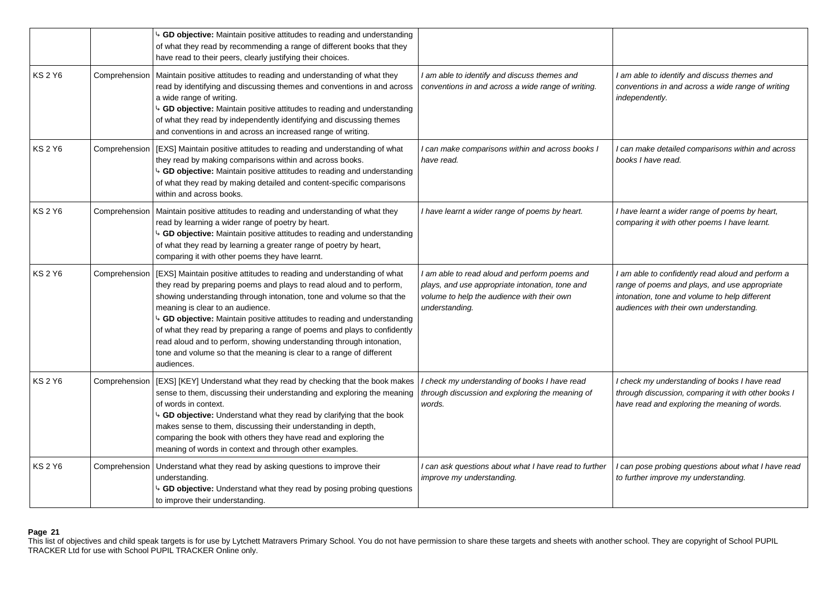|                |               | <sup>1</sup> GD objective: Maintain positive attitudes to reading and understanding<br>of what they read by recommending a range of different books that they<br>have read to their peers, clearly justifying their choices.                                                                                                                                                                                                                                                                                                                                                                 |                                                                                                                                                                  |                                                                                                                                                                                                |
|----------------|---------------|----------------------------------------------------------------------------------------------------------------------------------------------------------------------------------------------------------------------------------------------------------------------------------------------------------------------------------------------------------------------------------------------------------------------------------------------------------------------------------------------------------------------------------------------------------------------------------------------|------------------------------------------------------------------------------------------------------------------------------------------------------------------|------------------------------------------------------------------------------------------------------------------------------------------------------------------------------------------------|
| KS 2 Y6        |               | Comprehension   Maintain positive attitudes to reading and understanding of what they<br>read by identifying and discussing themes and conventions in and across<br>a wide range of writing.<br><sup>1</sup> GD objective: Maintain positive attitudes to reading and understanding<br>of what they read by independently identifying and discussing themes<br>and conventions in and across an increased range of writing.                                                                                                                                                                  | I am able to identify and discuss themes and<br>conventions in and across a wide range of writing.                                                               | I am able to identify and discuss themes and<br>conventions in and across a wide range of writing<br>independently.                                                                            |
| KS 2 Y6        | Comprehension | [EXS] Maintain positive attitudes to reading and understanding of what<br>they read by making comparisons within and across books.<br><sup>1</sup> GD objective: Maintain positive attitudes to reading and understanding<br>of what they read by making detailed and content-specific comparisons<br>within and across books.                                                                                                                                                                                                                                                               | can make comparisons within and across books I<br>have read.                                                                                                     | I can make detailed comparisons within and across<br>books I have read.                                                                                                                        |
| <b>KS 2 Y6</b> | Comprehension | Maintain positive attitudes to reading and understanding of what they<br>read by learning a wider range of poetry by heart.<br>4 GD objective: Maintain positive attitudes to reading and understanding<br>of what they read by learning a greater range of poetry by heart,<br>comparing it with other poems they have learnt.                                                                                                                                                                                                                                                              | I have learnt a wider range of poems by heart.                                                                                                                   | I have learnt a wider range of poems by heart,<br>comparing it with other poems I have learnt.                                                                                                 |
| <b>KS 2 Y6</b> | Comprehension | [EXS] Maintain positive attitudes to reading and understanding of what<br>they read by preparing poems and plays to read aloud and to perform,<br>showing understanding through intonation, tone and volume so that the<br>meaning is clear to an audience.<br><sup>1</sup> GD objective: Maintain positive attitudes to reading and understanding<br>of what they read by preparing a range of poems and plays to confidently<br>read aloud and to perform, showing understanding through intonation,<br>tone and volume so that the meaning is clear to a range of different<br>audiences. | I am able to read aloud and perform poems and<br>plays, and use appropriate intonation, tone and<br>volume to help the audience with their own<br>understanding. | I am able to confidently read aloud and perform a<br>range of poems and plays, and use appropriate<br>intonation, tone and volume to help different<br>audiences with their own understanding. |
| KS 2 Y6        | Comprehension | [EXS] [KEY] Understand what they read by checking that the book makes<br>sense to them, discussing their understanding and exploring the meaning<br>of words in context.<br>GD objective: Understand what they read by clarifying that the book<br>makes sense to them, discussing their understanding in depth,<br>comparing the book with others they have read and exploring the<br>meaning of words in context and through other examples.                                                                                                                                               | I check my understanding of books I have read<br>through discussion and exploring the meaning of<br>words.                                                       | I check my understanding of books I have read<br>through discussion, comparing it with other books I<br>have read and exploring the meaning of words.                                          |
| <b>KS 2 Y6</b> | Comprehension | Understand what they read by asking questions to improve their<br>understanding.<br>4 GD objective: Understand what they read by posing probing questions<br>to improve their understanding.                                                                                                                                                                                                                                                                                                                                                                                                 | I can ask questions about what I have read to further<br>improve my understanding.                                                                               | can pose probing questions about what I have read<br>to further improve my understanding.                                                                                                      |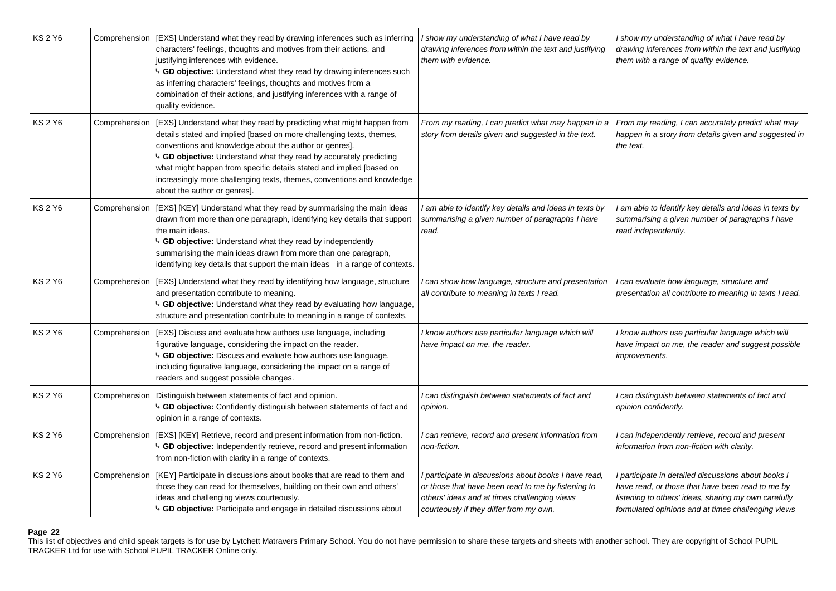| <b>KS 2 Y6</b> | Comprehension | [EXS] Understand what they read by drawing inferences such as inferring<br>characters' feelings, thoughts and motives from their actions, and<br>justifying inferences with evidence.<br>4 GD objective: Understand what they read by drawing inferences such<br>as inferring characters' feelings, thoughts and motives from a<br>combination of their actions, and justifying inferences with a range of<br>quality evidence.                                           | I show my understanding of what I have read by<br>drawing inferences from within the text and justifying<br>them with evidence.                                                                        | I show my understanding of what I have read by<br>drawing inferences from within the text and justifying<br>them with a range of quality evidence.                                                                    |
|----------------|---------------|---------------------------------------------------------------------------------------------------------------------------------------------------------------------------------------------------------------------------------------------------------------------------------------------------------------------------------------------------------------------------------------------------------------------------------------------------------------------------|--------------------------------------------------------------------------------------------------------------------------------------------------------------------------------------------------------|-----------------------------------------------------------------------------------------------------------------------------------------------------------------------------------------------------------------------|
| <b>KS 2 Y6</b> | Comprehension | [EXS] Understand what they read by predicting what might happen from<br>details stated and implied [based on more challenging texts, themes,<br>conventions and knowledge about the author or genres].<br><sup>4</sup> GD objective: Understand what they read by accurately predicting<br>what might happen from specific details stated and implied [based on<br>increasingly more challenging texts, themes, conventions and knowledge<br>about the author or genres]. | From my reading, I can predict what may happen in a<br>story from details given and suggested in the text.                                                                                             | From my reading, I can accurately predict what may<br>happen in a story from details given and suggested in<br>the text.                                                                                              |
| <b>KS 2 Y6</b> | Comprehension | [EXS] [KEY] Understand what they read by summarising the main ideas<br>drawn from more than one paragraph, identifying key details that support<br>the main ideas.<br><sup>4</sup> GD objective: Understand what they read by independently<br>summarising the main ideas drawn from more than one paragraph,<br>identifying key details that support the main ideas in a range of contexts.                                                                              | I am able to identify key details and ideas in texts by<br>summarising a given number of paragraphs I have<br>read.                                                                                    | I am able to identify key details and ideas in texts by<br>summarising a given number of paragraphs I have<br>read independently.                                                                                     |
| KS 2 Y6        | Comprehension | [EXS] Understand what they read by identifying how language, structure<br>and presentation contribute to meaning.<br>4 GD objective: Understand what they read by evaluating how language,<br>structure and presentation contribute to meaning in a range of contexts.                                                                                                                                                                                                    | I can show how language, structure and presentation<br>all contribute to meaning in texts I read.                                                                                                      | I can evaluate how language, structure and<br>presentation all contribute to meaning in texts I read.                                                                                                                 |
| <b>KS 2 Y6</b> | Comprehension | [EXS] Discuss and evaluate how authors use language, including<br>figurative language, considering the impact on the reader.<br>4 GD objective: Discuss and evaluate how authors use language,<br>including figurative language, considering the impact on a range of<br>readers and suggest possible changes.                                                                                                                                                            | I know authors use particular language which will<br>have impact on me, the reader.                                                                                                                    | I know authors use particular language which will<br>have impact on me, the reader and suggest possible<br><i>improvements.</i>                                                                                       |
| <b>KS 2 Y6</b> | Comprehension | Distinguish between statements of fact and opinion.<br><sup>4</sup> GD objective: Confidently distinguish between statements of fact and<br>opinion in a range of contexts.                                                                                                                                                                                                                                                                                               | I can distinguish between statements of fact and<br>opinion.                                                                                                                                           | can distinguish between statements of fact and<br>opinion confidently.                                                                                                                                                |
| <b>KS 2 Y6</b> | Comprehension | [EXS] [KEY] Retrieve, record and present information from non-fiction.<br>GD objective: Independently retrieve, record and present information<br>from non-fiction with clarity in a range of contexts.                                                                                                                                                                                                                                                                   | I can retrieve, record and present information from<br>non-fiction.                                                                                                                                    | I can independently retrieve, record and present<br>information from non-fiction with clarity.                                                                                                                        |
| <b>KS 2 Y6</b> | Comprehension | [KEY] Participate in discussions about books that are read to them and<br>those they can read for themselves, building on their own and others'<br>ideas and challenging views courteously.<br>GD objective: Participate and engage in detailed discussions about                                                                                                                                                                                                         | I participate in discussions about books I have read,<br>or those that have been read to me by listening to<br>others' ideas and at times challenging views<br>courteously if they differ from my own. | I participate in detailed discussions about books I<br>have read, or those that have been read to me by<br>listening to others' ideas, sharing my own carefully<br>formulated opinions and at times challenging views |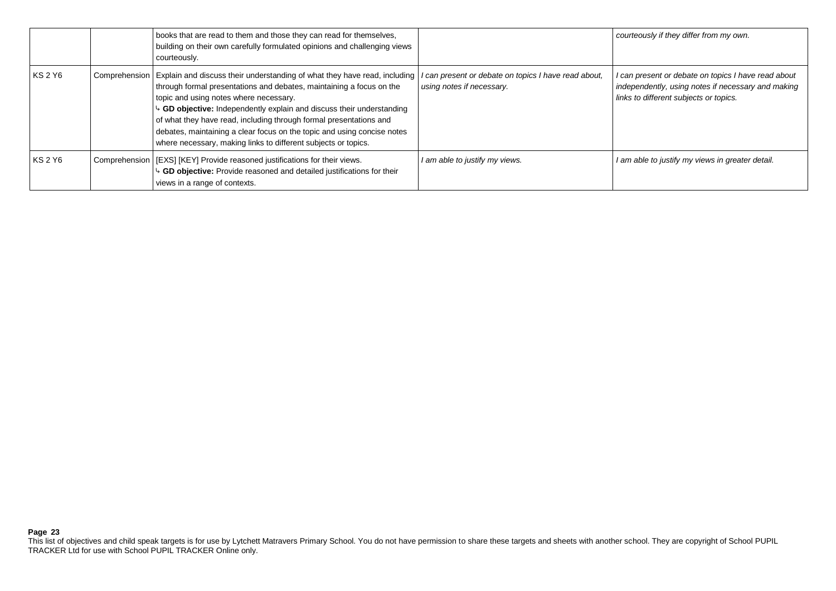|         | books that are read to them and those they can read for themselves,<br>building on their own carefully formulated opinions and challenging views<br>courteously.                                                                                                                                                                                                                                                                                                                                        |                                                                                   | courteously if they differ from my own.                                                                                                             |
|---------|---------------------------------------------------------------------------------------------------------------------------------------------------------------------------------------------------------------------------------------------------------------------------------------------------------------------------------------------------------------------------------------------------------------------------------------------------------------------------------------------------------|-----------------------------------------------------------------------------------|-----------------------------------------------------------------------------------------------------------------------------------------------------|
| KS 2 Y6 | Comprehension   Explain and discuss their understanding of what they have read, including<br>through formal presentations and debates, maintaining a focus on the<br>topic and using notes where necessary.<br>→ GD objective: Independently explain and discuss their understanding<br>of what they have read, including through formal presentations and<br>debates, maintaining a clear focus on the topic and using concise notes<br>where necessary, making links to different subjects or topics. | I can present or debate on topics I have read about,<br>using notes if necessary. | I can present or debate on topics I have read about<br>independently, using notes if necessary and making<br>links to different subjects or topics. |
| KS 2 Y6 | Comprehension   [EXS] [KEY] Provide reasoned justifications for their views.<br>GD objective: Provide reasoned and detailed justifications for their<br>views in a range of contexts.                                                                                                                                                                                                                                                                                                                   | I am able to justify my views.                                                    | I am able to justify my views in greater detail.                                                                                                    |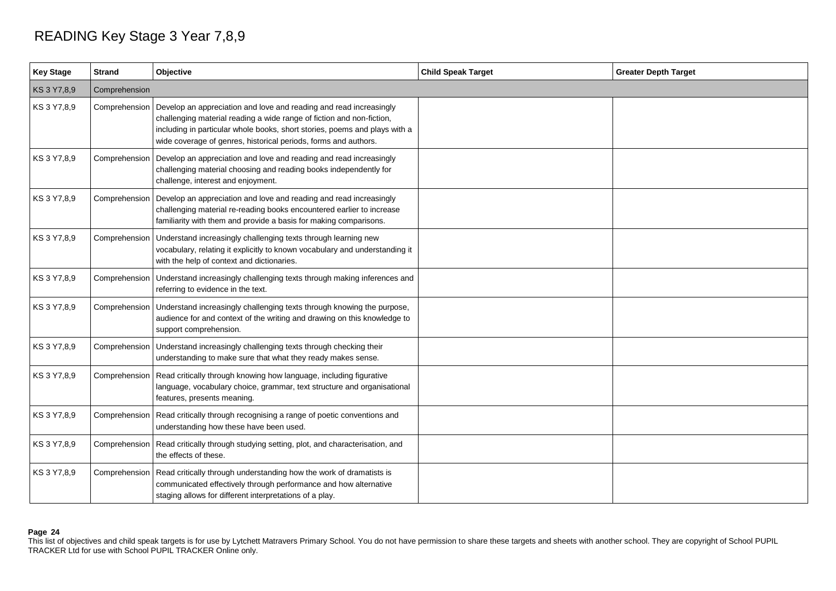# READING Key Stage 3 Year 7,8,9

| <b>Key Stage</b> | <b>Strand</b> | Objective                                                                                                                                                                                                                                                                                                    | <b>Child Speak Target</b> | <b>Greater Depth Target</b> |
|------------------|---------------|--------------------------------------------------------------------------------------------------------------------------------------------------------------------------------------------------------------------------------------------------------------------------------------------------------------|---------------------------|-----------------------------|
| KS 3 Y7,8,9      | Comprehension |                                                                                                                                                                                                                                                                                                              |                           |                             |
| KS 3 Y7,8,9      |               | Comprehension   Develop an appreciation and love and reading and read increasingly<br>challenging material reading a wide range of fiction and non-fiction,<br>including in particular whole books, short stories, poems and plays with a<br>wide coverage of genres, historical periods, forms and authors. |                           |                             |
| KS 3 Y7,8,9      | Comprehension | Develop an appreciation and love and reading and read increasingly<br>challenging material choosing and reading books independently for<br>challenge, interest and enjoyment.                                                                                                                                |                           |                             |
| KS 3 Y7,8,9      | Comprehension | Develop an appreciation and love and reading and read increasingly<br>challenging material re-reading books encountered earlier to increase<br>familiarity with them and provide a basis for making comparisons.                                                                                             |                           |                             |
| KS 3 Y7,8,9      | Comprehension | Understand increasingly challenging texts through learning new<br>vocabulary, relating it explicitly to known vocabulary and understanding it<br>with the help of context and dictionaries.                                                                                                                  |                           |                             |
| KS 3 Y7,8,9      | Comprehension | Understand increasingly challenging texts through making inferences and<br>referring to evidence in the text.                                                                                                                                                                                                |                           |                             |
| KS 3 Y7,8,9      | Comprehension | Understand increasingly challenging texts through knowing the purpose,<br>audience for and context of the writing and drawing on this knowledge to<br>support comprehension.                                                                                                                                 |                           |                             |
| KS 3 Y7,8,9      | Comprehension | Understand increasingly challenging texts through checking their<br>understanding to make sure that what they ready makes sense.                                                                                                                                                                             |                           |                             |
| KS 3 Y7,8,9      | Comprehension | Read critically through knowing how language, including figurative<br>language, vocabulary choice, grammar, text structure and organisational<br>features, presents meaning.                                                                                                                                 |                           |                             |
| KS 3 Y7,8,9      | Comprehension | Read critically through recognising a range of poetic conventions and<br>understanding how these have been used.                                                                                                                                                                                             |                           |                             |
| KS 3 Y7,8,9      | Comprehension | Read critically through studying setting, plot, and characterisation, and<br>the effects of these.                                                                                                                                                                                                           |                           |                             |
| KS 3 Y7,8,9      |               | Comprehension   Read critically through understanding how the work of dramatists is<br>communicated effectively through performance and how alternative<br>staging allows for different interpretations of a play.                                                                                           |                           |                             |

# **Page 24**